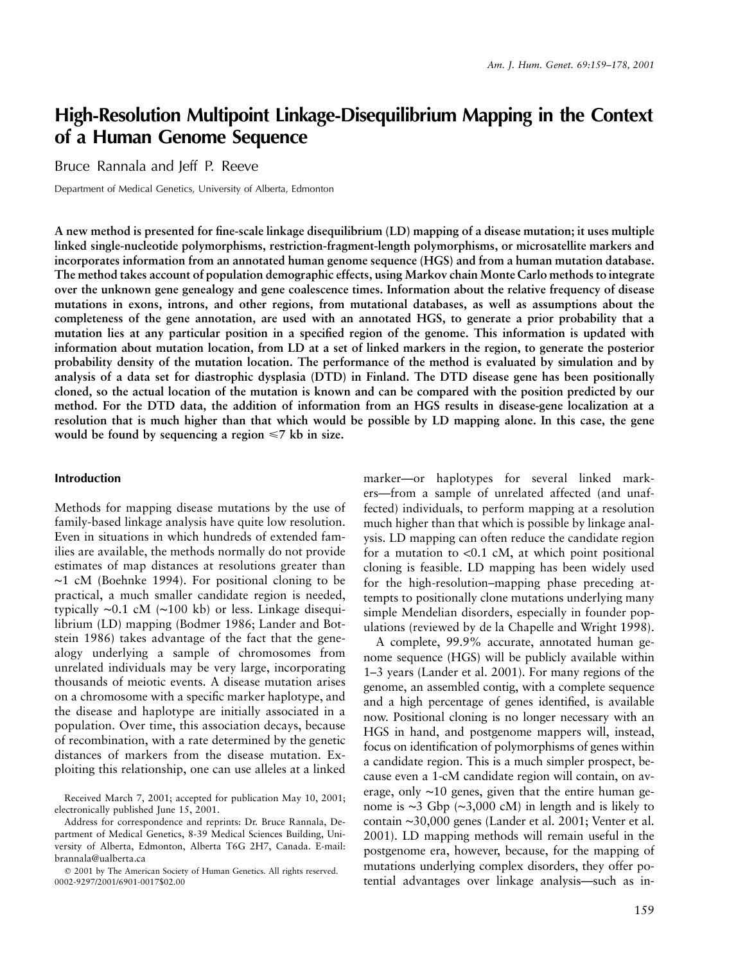# **High-Resolution Multipoint Linkage-Disequilibrium Mapping in the Context of a Human Genome Sequence**

Bruce Rannala and Jeff P. Reeve

Department of Medical Genetics, University of Alberta, Edmonton

**A new method is presented for fine-scale linkage disequilibrium (LD) mapping of a disease mutation; it uses multiple linked single-nucleotide polymorphisms, restriction-fragment-length polymorphisms, or microsatellite markers and incorporates information from an annotated human genome sequence (HGS) and from a human mutation database. The method takes account of population demographic effects, using Markov chain Monte Carlo methods to integrate over the unknown gene genealogy and gene coalescence times. Information about the relative frequency of disease mutations in exons, introns, and other regions, from mutational databases, as well as assumptions about the completeness of the gene annotation, are used with an annotated HGS, to generate a prior probability that a mutation lies at any particular position in a specified region of the genome. This information is updated with information about mutation location, from LD at a set of linked markers in the region, to generate the posterior probability density of the mutation location. The performance of the method is evaluated by simulation and by analysis of a data set for diastrophic dysplasia (DTD) in Finland. The DTD disease gene has been positionally cloned, so the actual location of the mutation is known and can be compared with the position predicted by our method. For the DTD data, the addition of information from an HGS results in disease-gene localization at a resolution that is much higher than that which would be possible by LD mapping alone. In this case, the gene** would be found by sequencing a region  $\leq 7$  kb in size.

#### **Introduction**

Methods for mapping disease mutations by the use of family-based linkage analysis have quite low resolution. Even in situations in which hundreds of extended families are available, the methods normally do not provide estimates of map distances at resolutions greater than ∼1 cM (Boehnke 1994). For positional cloning to be practical, a much smaller candidate region is needed, typically ∼0.1 cM (∼100 kb) or less. Linkage disequilibrium (LD) mapping (Bodmer 1986; Lander and Botstein 1986) takes advantage of the fact that the genealogy underlying a sample of chromosomes from unrelated individuals may be very large, incorporating thousands of meiotic events. A disease mutation arises on a chromosome with a specific marker haplotype, and the disease and haplotype are initially associated in a population. Over time, this association decays, because of recombination, with a rate determined by the genetic distances of markers from the disease mutation. Exploiting this relationship, one can use alleles at a linked

marker—or haplotypes for several linked markers—from a sample of unrelated affected (and unaffected) individuals, to perform mapping at a resolution much higher than that which is possible by linkage analysis. LD mapping can often reduce the candidate region for a mutation to  $< 0.1$  cM, at which point positional cloning is feasible. LD mapping has been widely used for the high-resolution–mapping phase preceding attempts to positionally clone mutations underlying many simple Mendelian disorders, especially in founder populations (reviewed by de la Chapelle and Wright 1998).

A complete, 99.9% accurate, annotated human genome sequence (HGS) will be publicly available within 1–3 years (Lander et al. 2001). For many regions of the genome, an assembled contig, with a complete sequence and a high percentage of genes identified, is available now. Positional cloning is no longer necessary with an HGS in hand, and postgenome mappers will, instead, focus on identification of polymorphisms of genes within a candidate region. This is a much simpler prospect, because even a 1-cM candidate region will contain, on average, only ∼10 genes, given that the entire human genome is ∼3 Gbp (∼3,000 cM) in length and is likely to contain ∼30,000 genes (Lander et al. 2001; Venter et al. 2001). LD mapping methods will remain useful in the postgenome era, however, because, for the mapping of mutations underlying complex disorders, they offer potential advantages over linkage analysis—such as in-

Received March 7, 2001; accepted for publication May 10, 2001; electronically published June 15, 2001.

Address for correspondence and reprints: Dr. Bruce Rannala, Department of Medical Genetics, 8-39 Medical Sciences Building, University of Alberta, Edmonton, Alberta T6G 2H7, Canada. E-mail: brannala@ualberta.ca

2001 by The American Society of Human Genetics. All rights reserved. 0002-9297/2001/6901-0017\$02.00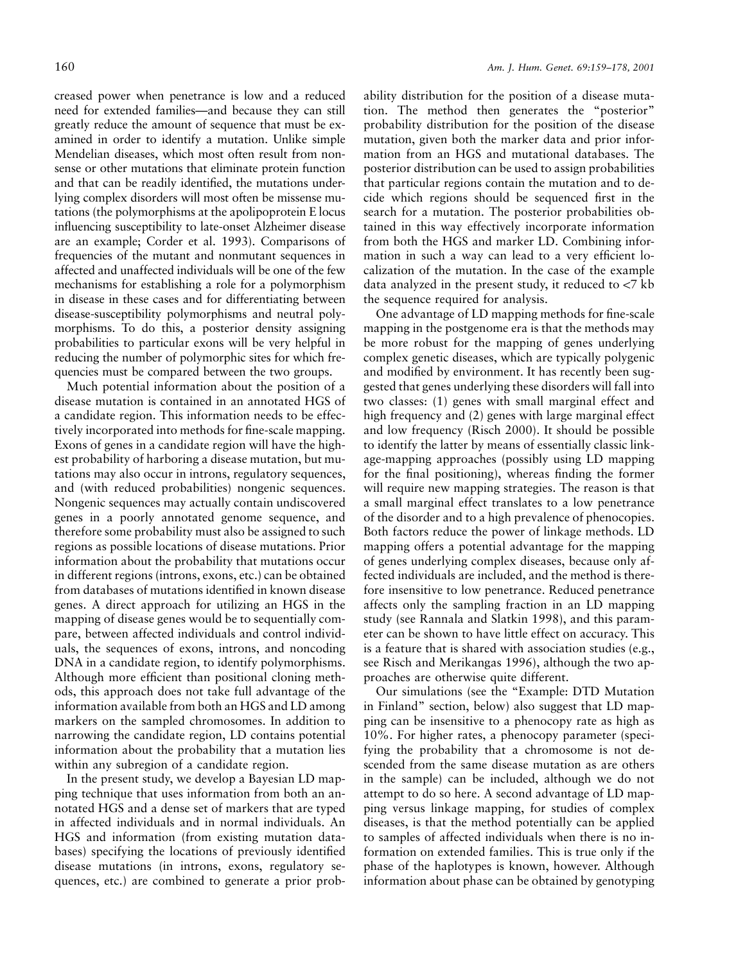creased power when penetrance is low and a reduced need for extended families—and because they can still greatly reduce the amount of sequence that must be examined in order to identify a mutation. Unlike simple Mendelian diseases, which most often result from nonsense or other mutations that eliminate protein function and that can be readily identified, the mutations underlying complex disorders will most often be missense mutations (the polymorphisms at the apolipoprotein E locus influencing susceptibility to late-onset Alzheimer disease are an example; Corder et al. 1993). Comparisons of frequencies of the mutant and nonmutant sequences in affected and unaffected individuals will be one of the few mechanisms for establishing a role for a polymorphism in disease in these cases and for differentiating between disease-susceptibility polymorphisms and neutral polymorphisms. To do this, a posterior density assigning probabilities to particular exons will be very helpful in reducing the number of polymorphic sites for which frequencies must be compared between the two groups.

Much potential information about the position of a disease mutation is contained in an annotated HGS of a candidate region. This information needs to be effectively incorporated into methods for fine-scale mapping. Exons of genes in a candidate region will have the highest probability of harboring a disease mutation, but mutations may also occur in introns, regulatory sequences, and (with reduced probabilities) nongenic sequences. Nongenic sequences may actually contain undiscovered genes in a poorly annotated genome sequence, and therefore some probability must also be assigned to such regions as possible locations of disease mutations. Prior information about the probability that mutations occur in different regions (introns, exons, etc.) can be obtained from databases of mutations identified in known disease genes. A direct approach for utilizing an HGS in the mapping of disease genes would be to sequentially compare, between affected individuals and control individuals, the sequences of exons, introns, and noncoding DNA in a candidate region, to identify polymorphisms. Although more efficient than positional cloning methods, this approach does not take full advantage of the information available from both an HGS and LD among markers on the sampled chromosomes. In addition to narrowing the candidate region, LD contains potential information about the probability that a mutation lies within any subregion of a candidate region.

In the present study, we develop a Bayesian LD mapping technique that uses information from both an annotated HGS and a dense set of markers that are typed in affected individuals and in normal individuals. An HGS and information (from existing mutation databases) specifying the locations of previously identified disease mutations (in introns, exons, regulatory sequences, etc.) are combined to generate a prior prob-

ability distribution for the position of a disease mutation. The method then generates the "posterior" probability distribution for the position of the disease mutation, given both the marker data and prior information from an HGS and mutational databases. The posterior distribution can be used to assign probabilities that particular regions contain the mutation and to decide which regions should be sequenced first in the search for a mutation. The posterior probabilities obtained in this way effectively incorporate information from both the HGS and marker LD. Combining information in such a way can lead to a very efficient localization of the mutation. In the case of the example data analyzed in the present study, it reduced to  $\langle 7 \text{ kb} \rangle$ the sequence required for analysis.

One advantage of LD mapping methods for fine-scale mapping in the postgenome era is that the methods may be more robust for the mapping of genes underlying complex genetic diseases, which are typically polygenic and modified by environment. It has recently been suggested that genes underlying these disorders will fall into two classes: (1) genes with small marginal effect and high frequency and (2) genes with large marginal effect and low frequency (Risch 2000). It should be possible to identify the latter by means of essentially classic linkage-mapping approaches (possibly using LD mapping for the final positioning), whereas finding the former will require new mapping strategies. The reason is that a small marginal effect translates to a low penetrance of the disorder and to a high prevalence of phenocopies. Both factors reduce the power of linkage methods. LD mapping offers a potential advantage for the mapping of genes underlying complex diseases, because only affected individuals are included, and the method is therefore insensitive to low penetrance. Reduced penetrance affects only the sampling fraction in an LD mapping study (see Rannala and Slatkin 1998), and this parameter can be shown to have little effect on accuracy. This is a feature that is shared with association studies (e.g., see Risch and Merikangas 1996), although the two approaches are otherwise quite different.

Our simulations (see the "Example: DTD Mutation in Finland" section, below) also suggest that LD mapping can be insensitive to a phenocopy rate as high as 10%. For higher rates, a phenocopy parameter (specifying the probability that a chromosome is not descended from the same disease mutation as are others in the sample) can be included, although we do not attempt to do so here. A second advantage of LD mapping versus linkage mapping, for studies of complex diseases, is that the method potentially can be applied to samples of affected individuals when there is no information on extended families. This is true only if the phase of the haplotypes is known, however. Although information about phase can be obtained by genotyping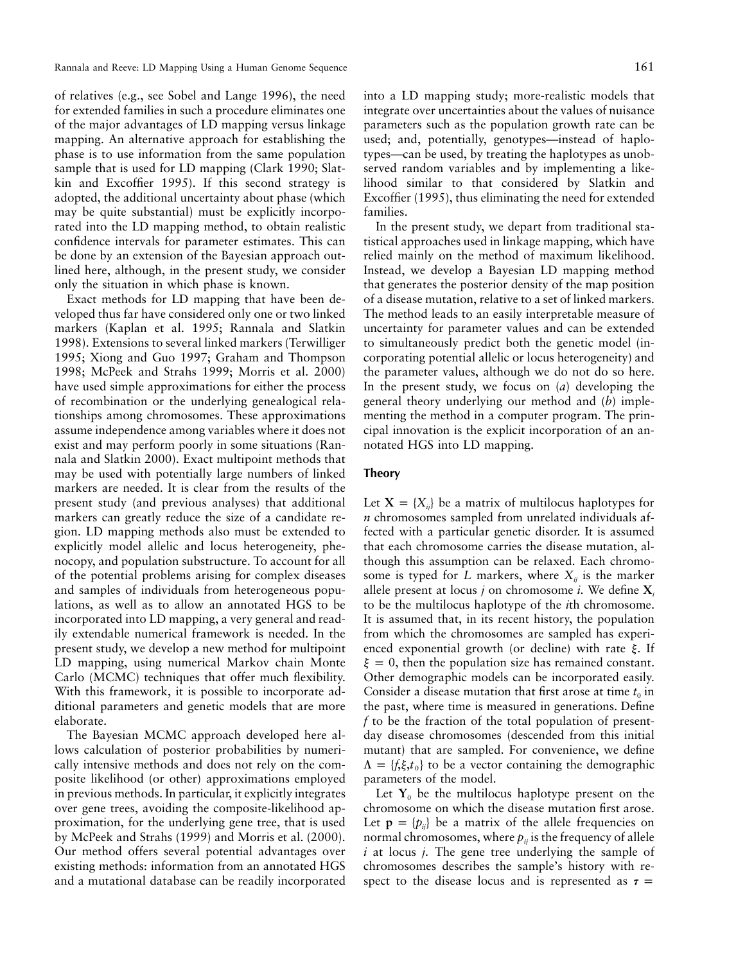Rannala and Reeve: LD Mapping Using a Human Genome Sequence 161 and the state of the 161 and 161 and 161 and 161

of relatives (e.g., see Sobel and Lange 1996), the need for extended families in such a procedure eliminates one of the major advantages of LD mapping versus linkage mapping. An alternative approach for establishing the phase is to use information from the same population sample that is used for LD mapping (Clark 1990; Slatkin and Excoffier 1995). If this second strategy is adopted, the additional uncertainty about phase (which may be quite substantial) must be explicitly incorporated into the LD mapping method, to obtain realistic confidence intervals for parameter estimates. This can be done by an extension of the Bayesian approach outlined here, although, in the present study, we consider only the situation in which phase is known.

Exact methods for LD mapping that have been developed thus far have considered only one or two linked markers (Kaplan et al. 1995; Rannala and Slatkin 1998). Extensions to several linked markers (Terwilliger 1995; Xiong and Guo 1997; Graham and Thompson 1998; McPeek and Strahs 1999; Morris et al. 2000) have used simple approximations for either the process of recombination or the underlying genealogical relationships among chromosomes. These approximations assume independence among variables where it does not exist and may perform poorly in some situations (Rannala and Slatkin 2000). Exact multipoint methods that may be used with potentially large numbers of linked markers are needed. It is clear from the results of the present study (and previous analyses) that additional markers can greatly reduce the size of a candidate region. LD mapping methods also must be extended to explicitly model allelic and locus heterogeneity, phenocopy, and population substructure. To account for all of the potential problems arising for complex diseases and samples of individuals from heterogeneous populations, as well as to allow an annotated HGS to be incorporated into LD mapping, a very general and readily extendable numerical framework is needed. In the present study, we develop a new method for multipoint LD mapping, using numerical Markov chain Monte Carlo (MCMC) techniques that offer much flexibility. With this framework, it is possible to incorporate additional parameters and genetic models that are more elaborate.

The Bayesian MCMC approach developed here allows calculation of posterior probabilities by numerically intensive methods and does not rely on the composite likelihood (or other) approximations employed in previous methods. In particular, it explicitly integrates over gene trees, avoiding the composite-likelihood approximation, for the underlying gene tree, that is used by McPeek and Strahs (1999) and Morris et al. (2000). Our method offers several potential advantages over existing methods: information from an annotated HGS and a mutational database can be readily incorporated

into a LD mapping study; more-realistic models that integrate over uncertainties about the values of nuisance parameters such as the population growth rate can be used; and, potentially, genotypes—instead of haplotypes—can be used, by treating the haplotypes as unobserved random variables and by implementing a likelihood similar to that considered by Slatkin and Excoffier (1995), thus eliminating the need for extended families.

In the present study, we depart from traditional statistical approaches used in linkage mapping, which have relied mainly on the method of maximum likelihood. Instead, we develop a Bayesian LD mapping method that generates the posterior density of the map position of a disease mutation, relative to a set of linked markers. The method leads to an easily interpretable measure of uncertainty for parameter values and can be extended to simultaneously predict both the genetic model (incorporating potential allelic or locus heterogeneity) and the parameter values, although we do not do so here. In the present study, we focus on (*a*) developing the general theory underlying our method and (*b*) implementing the method in a computer program. The principal innovation is the explicit incorporation of an annotated HGS into LD mapping.

### **Theory**

Let  $X = \{X_{ii}\}\$ be a matrix of multilocus haplotypes for *n* chromosomes sampled from unrelated individuals affected with a particular genetic disorder. It is assumed that each chromosome carries the disease mutation, although this assumption can be relaxed. Each chromosome is typed for *L* markers, where  $X_{ii}$  is the marker allele present at locus *j* on chromosome *i.* We define **X***<sup>i</sup>* to be the multilocus haplotype of the *i*th chromosome. It is assumed that, in its recent history, the population from which the chromosomes are sampled has experienced exponential growth (or decline) with rate  $\xi$ . If  $\xi = 0$ , then the population size has remained constant. Other demographic models can be incorporated easily. Consider a disease mutation that first arose at time  $t_0$  in the past, where time is measured in generations. Define *f* to be the fraction of the total population of presentday disease chromosomes (descended from this initial mutant) that are sampled. For convenience, we define  $\Lambda = \{f, \xi, t_0\}$  to be a vector containing the demographic parameters of the model.

Let  $Y_0$  be the multilocus haplotype present on the chromosome on which the disease mutation first arose. Let  $\mathbf{p} = \{p_{ij}\}\$ be a matrix of the allele frequencies on normal chromosomes, where  $p_{ii}$  is the frequency of allele *i* at locus *j.* The gene tree underlying the sample of chromosomes describes the sample's history with respect to the disease locus and is represented as  $\tau =$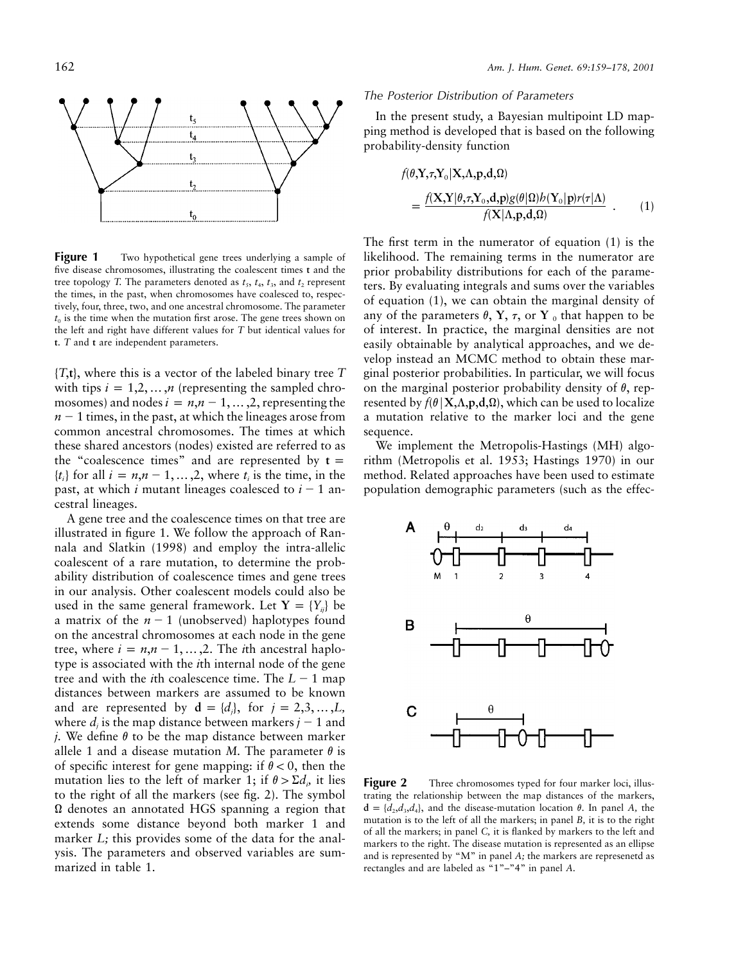

**Figure 1** Two hypothetical gene trees underlying a sample of five disease chromosomes, illustrating the coalescent times **t** and the tree topology *T*. The parameters denoted as  $t_5$ ,  $t_4$ ,  $t_3$ , and  $t_2$  represent the times, in the past, when chromosomes have coalesced to, respectively, four, three, two, and one ancestral chromosome. The parameter  $t<sub>0</sub>$  is the time when the mutation first arose. The gene trees shown on the left and right have different values for *T* but identical values for **t**. *T* and **t** are independent parameters.

{*T*,**t**}, where this is a vector of the labeled binary tree *T* with tips  $i = 1,2,...,n$  (representing the sampled chromosomes) and nodes  $i = n, n - 1, ..., 2$ , representing the  $n-1$  times, in the past, at which the lineages arose from common ancestral chromosomes. The times at which these shared ancestors (nodes) existed are referred to as the "coalescence times" and are represented by  $t =$  $\{t_i\}$  for all  $i = n, n - 1, ..., 2$ , where  $t_i$  is the time, in the past, at which *i* mutant lineages coalesced to  $i - 1$  ancestral lineages.

A gene tree and the coalescence times on that tree are illustrated in figure 1. We follow the approach of Rannala and Slatkin (1998) and employ the intra-allelic coalescent of a rare mutation, to determine the probability distribution of coalescence times and gene trees in our analysis. Other coalescent models could also be used in the same general framework. Let  $Y = {Y_{ii}}$  be a matrix of the  $n - 1$  (unobserved) haplotypes found on the ancestral chromosomes at each node in the gene tree, where  $i = n, n - 1, ..., 2$ . The *i*th ancestral haplotype is associated with the *i*th internal node of the gene tree and with the *i*th coalescence time. The  $L - 1$  map distances between markers are assumed to be known and are represented by  $d = \{d_i\}$ , for  $j = 2,3,...,L$ , where  $d_j$  is the map distance between markers  $j - 1$  and *j*. We define  $\theta$  to be the map distance between marker allele 1 and a disease mutation *M*. The parameter  $\theta$  is of specific interest for gene mapping: if  $\theta < 0$ , then the mutation lies to the left of marker 1; if  $\theta > \Sigma d_i$ , it lies to the right of all the markers (see fig. 2). The symbol Q denotes an annotated HGS spanning a region that extends some distance beyond both marker 1 and marker *L*; this provides some of the data for the analysis. The parameters and observed variables are summarized in table 1.

#### *The Posterior Distribution of Parameters*

In the present study, a Bayesian multipoint LD mapping method is developed that is based on the following probability-density function

$$
f(\theta, \mathbf{Y}, \tau, \mathbf{Y}_0 | \mathbf{X}, \Lambda, \mathbf{p}, \mathbf{d}, \Omega)
$$
  
= 
$$
\frac{f(\mathbf{X}, \mathbf{Y} | \theta, \tau, \mathbf{Y}_0, \mathbf{d}, \mathbf{p}) g(\theta | \Omega) b(\mathbf{Y}_0 | \mathbf{p}) r(\tau | \Lambda)}{f(\mathbf{X} | \Lambda, \mathbf{p}, \mathbf{d}, \Omega)} \qquad (1)
$$

The first term in the numerator of equation (1) is the likelihood. The remaining terms in the numerator are prior probability distributions for each of the parameters. By evaluating integrals and sums over the variables of equation (1), we can obtain the marginal density of any of the parameters  $\theta$ , **Y**,  $\tau$ , or **Y**<sub>0</sub> that happen to be of interest. In practice, the marginal densities are not easily obtainable by analytical approaches, and we develop instead an MCMC method to obtain these marginal posterior probabilities. In particular, we will focus on the marginal posterior probability density of  $\theta$ , represented by  $f(\theta|\mathbf{X},\Lambda,\mathbf{p},\mathbf{d},\Omega)$ , which can be used to localize a mutation relative to the marker loci and the gene sequence.

We implement the Metropolis-Hastings (MH) algorithm (Metropolis et al. 1953; Hastings 1970) in our method. Related approaches have been used to estimate population demographic parameters (such as the effec-



Figure 2 Three chromosomes typed for four marker loci, illustrating the relationship between the map distances of the markers,  $d = {d_2, d_3, d_4}$ , and the disease-mutation location  $\theta$ . In panel *A*, the mutation is to the left of all the markers; in panel *B,* it is to the right of all the markers; in panel *C,* it is flanked by markers to the left and markers to the right. The disease mutation is represented as an ellipse and is represented by "M" in panel *A;* the markers are represenetd as rectangles and are labeled as "1"–"4" in panel *A.*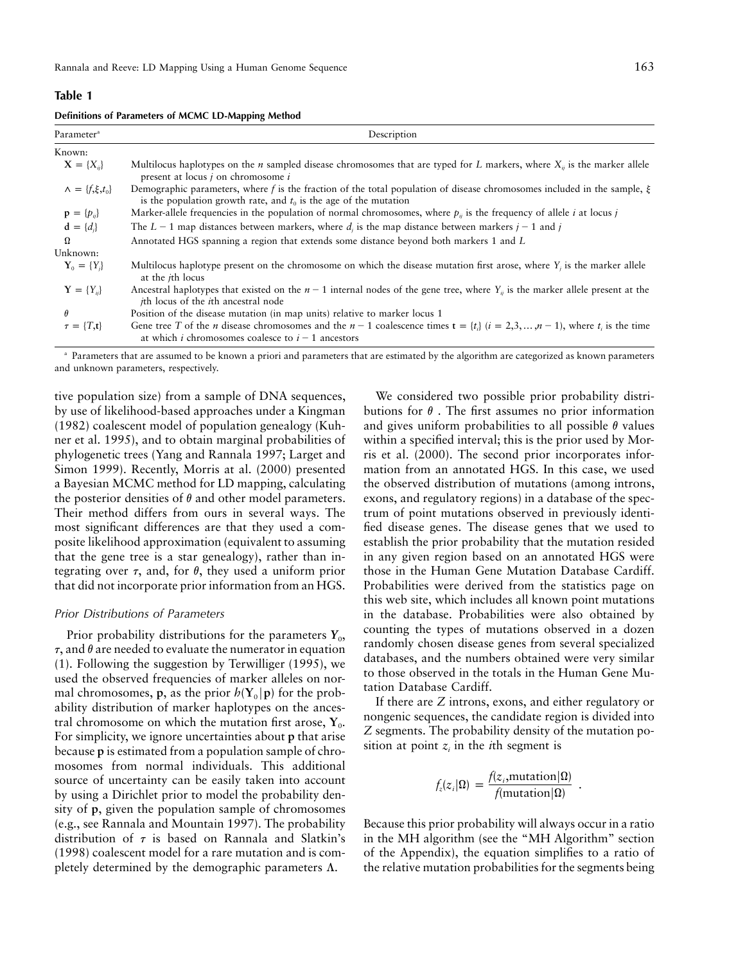#### **Table 1**

| Parameter <sup>a</sup>      | Description                                                                                                                                                                                             |  |  |  |  |
|-----------------------------|---------------------------------------------------------------------------------------------------------------------------------------------------------------------------------------------------------|--|--|--|--|
| Known:                      |                                                                                                                                                                                                         |  |  |  |  |
| $X = \{X_{ii}\}\$           | Multilocus haplotypes on the <i>n</i> sampled disease chromosomes that are typed for L markers, where $X_{ii}$ is the marker allele<br>present at locus $j$ on chromosome $i$                           |  |  |  |  |
| $\Lambda = \{f, \xi, t_0\}$ | Demographic parameters, where f is the fraction of the total population of disease chromosomes included in the sample, $\xi$<br>is the population growth rate, and $t_0$ is the age of the mutation     |  |  |  |  |
| ${\bf p} = \{p_{ii}\}$      | Marker-allele frequencies in the population of normal chromosomes, where $p_{ii}$ is the frequency of allele <i>i</i> at locus <i>j</i>                                                                 |  |  |  |  |
| $d = \{d_i\}$               | The L – 1 map distances between markers, where $d_i$ is the map distance between markers $j-1$ and j                                                                                                    |  |  |  |  |
| Ω                           | Annotated HGS spanning a region that extends some distance beyond both markers 1 and L                                                                                                                  |  |  |  |  |
| Unknown:                    |                                                                                                                                                                                                         |  |  |  |  |
| $Y_0 = \{Y_i\}$             | Multilocus haplotype present on the chromosome on which the disease mutation first arose, where $Y_i$ is the marker allele<br>at the <i>j</i> th locus                                                  |  |  |  |  |
| $Y = \{Y_{ii}\}\$           | Ancestral haplotypes that existed on the $n-1$ internal nodes of the gene tree, where $Y_{ii}$ is the marker allele present at the<br><i>i</i> th locus of the <i>i</i> th ancestral node               |  |  |  |  |
| $\theta$                    | Position of the disease mutation (in map units) relative to marker locus 1                                                                                                                              |  |  |  |  |
| $\tau = \{T, t\}$           | Gene tree T of the <i>n</i> disease chromosomes and the $n-1$ coalescence times $t = \{t_i\}$ $(i = 2,3,,n-1)$ , where $t_i$ is the time<br>at which <i>i</i> chromosomes coalesce to $i - 1$ ancestors |  |  |  |  |

<sup>a</sup> Parameters that are assumed to be known a priori and parameters that are estimated by the algorithm are categorized as known parameters and unknown parameters, respectively.

tive population size) from a sample of DNA sequences, by use of likelihood-based approaches under a Kingman (1982) coalescent model of population genealogy (Kuhner et al. 1995), and to obtain marginal probabilities of phylogenetic trees (Yang and Rannala 1997; Larget and Simon 1999). Recently, Morris at al. (2000) presented a Bayesian MCMC method for LD mapping, calculating the posterior densities of  $\theta$  and other model parameters. Their method differs from ours in several ways. The most significant differences are that they used a composite likelihood approximation (equivalent to assuming that the gene tree is a star genealogy), rather than integrating over  $\tau$ , and, for  $\theta$ , they used a uniform prior that did not incorporate prior information from an HGS.

#### *Prior Distributions of Parameters*

Prior probability distributions for the parameters  $Y_{0}$ ,  $\tau$ , and  $\theta$  are needed to evaluate the numerator in equation (1). Following the suggestion by Terwilliger (1995), we used the observed frequencies of marker alleles on normal chromosomes, **p**, as the prior  $h(Y_0|\mathbf{p})$  for the probability distribution of marker haplotypes on the ancestral chromosome on which the mutation first arose,  $Y_0$ . For simplicity, we ignore uncertainties about **p** that arise because **p** is estimated from a population sample of chromosomes from normal individuals. This additional source of uncertainty can be easily taken into account by using a Dirichlet prior to model the probability density of **p**, given the population sample of chromosomes (e.g., see Rannala and Mountain 1997). The probability distribution of  $\tau$  is based on Rannala and Slatkin's (1998) coalescent model for a rare mutation and is completely determined by the demographic parameters  $\Lambda$ .

We considered two possible prior probability distributions for  $\theta$ . The first assumes no prior information and gives uniform probabilities to all possible  $\theta$  values within a specified interval; this is the prior used by Morris et al. (2000). The second prior incorporates information from an annotated HGS. In this case, we used the observed distribution of mutations (among introns, exons, and regulatory regions) in a database of the spectrum of point mutations observed in previously identified disease genes. The disease genes that we used to establish the prior probability that the mutation resided in any given region based on an annotated HGS were those in the Human Gene Mutation Database Cardiff. Probabilities were derived from the statistics page on this web site, which includes all known point mutations in the database. Probabilities were also obtained by counting the types of mutations observed in a dozen randomly chosen disease genes from several specialized databases, and the numbers obtained were very similar to those observed in the totals in the Human Gene Mutation Database Cardiff.

If there are *Z* introns, exons, and either regulatory or nongenic sequences, the candidate region is divided into *Z* segments. The probability density of the mutation position at point  $z_i$  in the *i*th segment is

$$
f_z(z_i|\Omega) = \frac{f(z_i, \text{mutation}|\Omega)}{f(\text{mutation}|\Omega)}.
$$

Because this prior probability will always occur in a ratio in the MH algorithm (see the "MH Algorithm" section of the Appendix), the equation simplifies to a ratio of the relative mutation probabilities for the segments being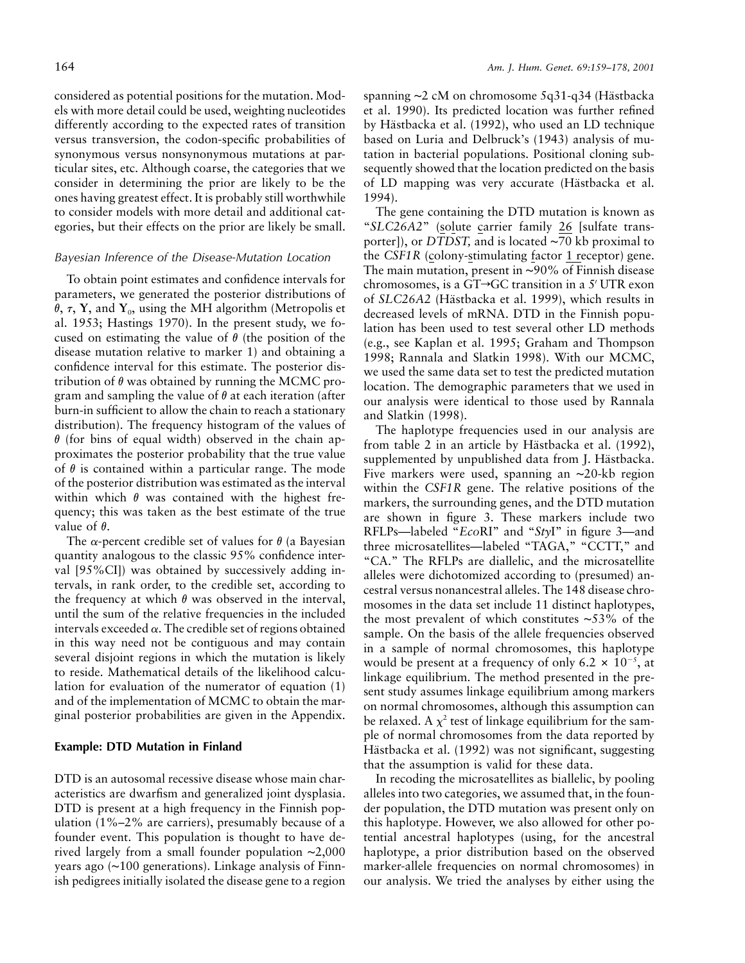considered as potential positions for the mutation. Models with more detail could be used, weighting nucleotides differently according to the expected rates of transition versus transversion, the codon-specific probabilities of synonymous versus nonsynonymous mutations at particular sites, etc. Although coarse, the categories that we consider in determining the prior are likely to be the ones having greatest effect. It is probably still worthwhile to consider models with more detail and additional categories, but their effects on the prior are likely be small.

#### *Bayesian Inference of the Disease-Mutation Location*

To obtain point estimates and confidence intervals for parameters, we generated the posterior distributions of  $\theta$ ,  $\tau$ , **Y**, and **Y**<sub>0</sub>, using the MH algorithm (Metropolis et al. 1953; Hastings 1970). In the present study, we focused on estimating the value of  $\theta$  (the position of the disease mutation relative to marker 1) and obtaining a confidence interval for this estimate. The posterior distribution of  $\theta$  was obtained by running the MCMC program and sampling the value of  $\theta$  at each iteration (after burn-in sufficient to allow the chain to reach a stationary distribution). The frequency histogram of the values of  $\theta$  (for bins of equal width) observed in the chain approximates the posterior probability that the true value of  $\theta$  is contained within a particular range. The mode of the posterior distribution was estimated as the interval within which  $\theta$  was contained with the highest frequency; this was taken as the best estimate of the true value of  $\theta$ .

The  $\alpha$ -percent credible set of values for  $\theta$  (a Bayesian quantity analogous to the classic 95% confidence interval [95%CI]) was obtained by successively adding intervals, in rank order, to the credible set, according to the frequency at which  $\theta$  was observed in the interval, until the sum of the relative frequencies in the included intervals exceeded  $\alpha$ . The credible set of regions obtained in this way need not be contiguous and may contain several disjoint regions in which the mutation is likely to reside. Mathematical details of the likelihood calculation for evaluation of the numerator of equation (1) and of the implementation of MCMC to obtain the marginal posterior probabilities are given in the Appendix.

#### **Example: DTD Mutation in Finland**

DTD is an autosomal recessive disease whose main characteristics are dwarfism and generalized joint dysplasia. DTD is present at a high frequency in the Finnish population (1%–2% are carriers), presumably because of a founder event. This population is thought to have derived largely from a small founder population ∼2,000 years ago (∼100 generations). Linkage analysis of Finnish pedigrees initially isolated the disease gene to a region

spanning ∼2 cM on chromosome 5q31-q34 (Hästbacka et al. 1990). Its predicted location was further refined by Hästbacka et al. (1992), who used an LD technique based on Luria and Delbruck's (1943) analysis of mutation in bacterial populations. Positional cloning subsequently showed that the location predicted on the basis of LD mapping was very accurate (Hästbacka et al. 1994).

The gene containing the DTD mutation is known as "*SLC26A2*" (solute carrier family 26 [sulfate transporter]), or *DTDST,* and is located ∼70 kb proximal to the *CSF1R* (colony-stimulating factor 1 receptor) gene. The main mutation, present in ∼90% of Finnish disease chromosomes, is a GT $\rightarrow$ GC transition in a 5' UTR exon of *SLC26A2* (Hästbacka et al. 1999), which results in decreased levels of mRNA. DTD in the Finnish population has been used to test several other LD methods (e.g., see Kaplan et al. 1995; Graham and Thompson 1998; Rannala and Slatkin 1998). With our MCMC, we used the same data set to test the predicted mutation location. The demographic parameters that we used in our analysis were identical to those used by Rannala and Slatkin (1998).

The haplotype frequencies used in our analysis are from table 2 in an article by Hästbacka et al.  $(1992)$ , supplemented by unpublished data from J. Hästbacka. Five markers were used, spanning an ∼20-kb region within the *CSF1R* gene. The relative positions of the markers, the surrounding genes, and the DTD mutation are shown in figure 3. These markers include two RFLPs—labeled "*Eco*RI" and "*Sty*I" in figure 3—and three microsatellites—labeled "TAGA," "CCTT," and "CA." The RFLPs are diallelic, and the microsatellite alleles were dichotomized according to (presumed) ancestral versus nonancestral alleles. The 148 disease chromosomes in the data set include 11 distinct haplotypes, the most prevalent of which constitutes ∼53% of the sample. On the basis of the allele frequencies observed in a sample of normal chromosomes, this haplotype would be present at a frequency of only 6.2  $\times$  10<sup>-5</sup>, at linkage equilibrium. The method presented in the present study assumes linkage equilibrium among markers on normal chromosomes, although this assumption can be relaxed. A  $\chi^2$  test of linkage equilibrium for the sample of normal chromosomes from the data reported by Hästbacka et al. (1992) was not significant, suggesting that the assumption is valid for these data.

In recoding the microsatellites as biallelic, by pooling alleles into two categories, we assumed that, in the founder population, the DTD mutation was present only on this haplotype. However, we also allowed for other potential ancestral haplotypes (using, for the ancestral haplotype, a prior distribution based on the observed marker-allele frequencies on normal chromosomes) in our analysis. We tried the analyses by either using the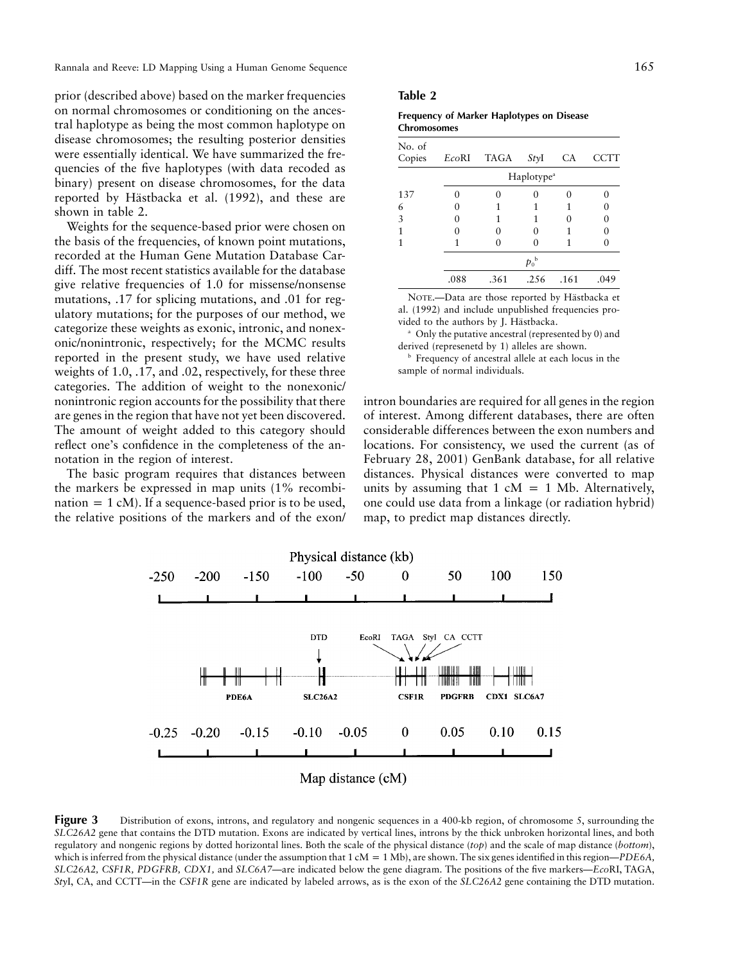prior (described above) based on the marker frequencies on normal chromosomes or conditioning on the ancestral haplotype as being the most common haplotype on disease chromosomes; the resulting posterior densities were essentially identical. We have summarized the frequencies of the five haplotypes (with data recoded as binary) present on disease chromosomes, for the data reported by Hästbacka et al. (1992), and these are shown in table 2.

Weights for the sequence-based prior were chosen on the basis of the frequencies, of known point mutations, recorded at the Human Gene Mutation Database Cardiff. The most recent statistics available for the database give relative frequencies of 1.0 for missense/nonsense mutations, .17 for splicing mutations, and .01 for regulatory mutations; for the purposes of our method, we categorize these weights as exonic, intronic, and nonexonic/nonintronic, respectively; for the MCMC results reported in the present study, we have used relative weights of 1.0, .17, and .02, respectively, for these three categories. The addition of weight to the nonexonic/ nonintronic region accounts for the possibility that there are genes in the region that have not yet been discovered. The amount of weight added to this category should reflect one's confidence in the completeness of the annotation in the region of interest.

The basic program requires that distances between the markers be expressed in map units (1% recombination  $= 1$  cM). If a sequence-based prior is to be used, the relative positions of the markers and of the exon/

#### **Table 2**

| Frequency of Marker Haplotypes on Disease |  |  |
|-------------------------------------------|--|--|
| Chromosomes                               |  |  |

| No. of |                        |      |                      |      |             |  |  |
|--------|------------------------|------|----------------------|------|-------------|--|--|
| Copies | EcoRI                  | TAGA | Styl                 | CA   | <b>CCTT</b> |  |  |
|        | Haplotype <sup>a</sup> |      |                      |      |             |  |  |
| 137    |                        |      |                      |      |             |  |  |
| 6      |                        |      |                      |      | 0           |  |  |
| 3      |                        |      | 1                    |      | 0           |  |  |
| 1      |                        |      |                      |      | 0           |  |  |
| 1      |                        |      |                      |      | 0           |  |  |
|        |                        |      | $p_{0}^{\mathrm{b}}$ |      |             |  |  |
|        | .088                   | .361 | .256                 | .161 | .049        |  |  |
|        |                        |      |                      |      |             |  |  |

NOTE.—Data are those reported by Hästbacka et al. (1992) and include unpublished frequencies provided to the authors by J. Hästbacka.

Only the putative ancestral (represented by 0) and derived (represenetd by 1) alleles are shown.

<sup>b</sup> Frequency of ancestral allele at each locus in the sample of normal individuals.

intron boundaries are required for all genes in the region of interest. Among different databases, there are often considerable differences between the exon numbers and locations. For consistency, we used the current (as of February 28, 2001) GenBank database, for all relative distances. Physical distances were converted to map units by assuming that 1 cM = 1 Mb. Alternatively, one could use data from a linkage (or radiation hybrid) map, to predict map distances directly.



**Figure 3** Distribution of exons, introns, and regulatory and nongenic sequences in a 400-kb region, of chromosome 5, surrounding the *SLC26A2* gene that contains the DTD mutation. Exons are indicated by vertical lines, introns by the thick unbroken horizontal lines, and both regulatory and nongenic regions by dotted horizontal lines. Both the scale of the physical distance (*top*) and the scale of map distance (*bottom*), which is inferred from the physical distance (under the assumption that  $1 cM = 1 Mb$ ), are shown. The six genes identified in this region—*PDE6A*, *SLC26A2, CSF1R, PDGFRB, CDX1,* and *SLC6A7*—are indicated below the gene diagram. The positions of the five markers—*Eco*RI, TAGA, *Sty*I, CA, and CCTT—in the *CSF1R* gene are indicated by labeled arrows, as is the exon of the *SLC26A2* gene containing the DTD mutation.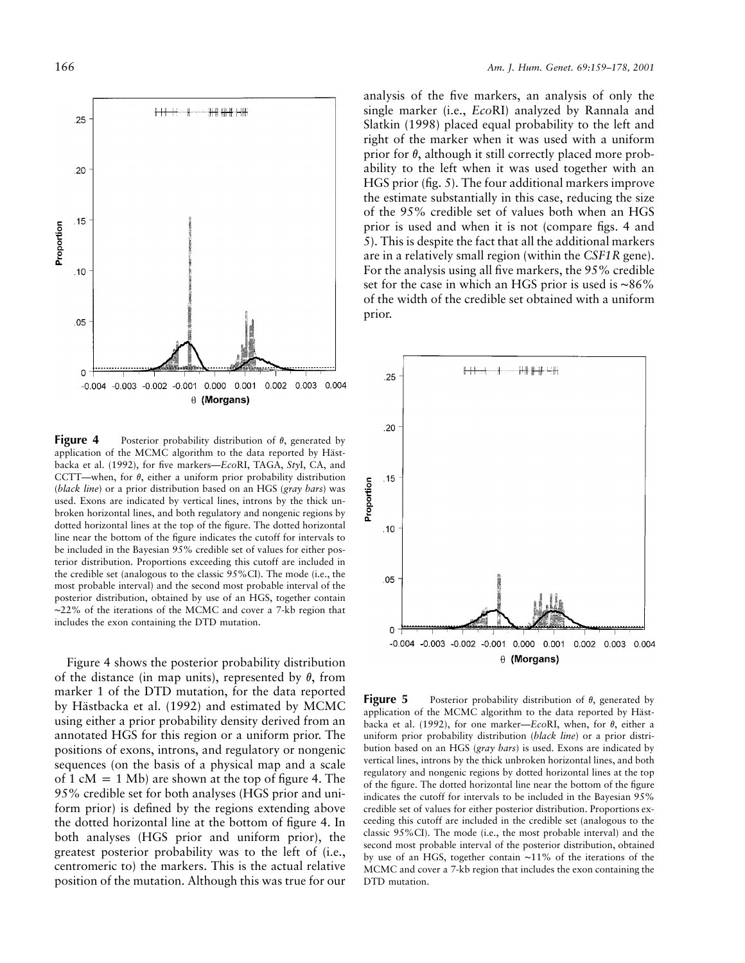

**Figure 4** Posterior probability distribution of  $\theta$ , generated by application of the MCMC algorithm to the data reported by Hästbacka et al. (1992), for five markers—*Eco*RI, TAGA, *Sty*I, CA, and CCTT—when, for  $\theta$ , either a uniform prior probability distribution (*black line*) or a prior distribution based on an HGS (*gray bars*) was used. Exons are indicated by vertical lines, introns by the thick unbroken horizontal lines, and both regulatory and nongenic regions by dotted horizontal lines at the top of the figure. The dotted horizontal line near the bottom of the figure indicates the cutoff for intervals to be included in the Bayesian 95% credible set of values for either posterior distribution. Proportions exceeding this cutoff are included in the credible set (analogous to the classic 95%CI). The mode (i.e., the most probable interval) and the second most probable interval of the posterior distribution, obtained by use of an HGS, together contain ∼22% of the iterations of the MCMC and cover a 7-kb region that includes the exon containing the DTD mutation.

Figure 4 shows the posterior probability distribution of the distance (in map units), represented by  $\theta$ , from marker 1 of the DTD mutation, for the data reported by Hästbacka et al. (1992) and estimated by MCMC using either a prior probability density derived from an annotated HGS for this region or a uniform prior. The positions of exons, introns, and regulatory or nongenic sequences (on the basis of a physical map and a scale of 1 cM  $= 1$  Mb) are shown at the top of figure 4. The 95% credible set for both analyses (HGS prior and uniform prior) is defined by the regions extending above the dotted horizontal line at the bottom of figure 4. In both analyses (HGS prior and uniform prior), the greatest posterior probability was to the left of (i.e., centromeric to) the markers. This is the actual relative position of the mutation. Although this was true for our

analysis of the five markers, an analysis of only the single marker (i.e., *Eco*RI) analyzed by Rannala and Slatkin (1998) placed equal probability to the left and right of the marker when it was used with a uniform prior for  $\theta$ , although it still correctly placed more probability to the left when it was used together with an HGS prior (fig. 5). The four additional markers improve the estimate substantially in this case, reducing the size of the 95% credible set of values both when an HGS prior is used and when it is not (compare figs. 4 and 5). This is despite the fact that all the additional markers are in a relatively small region (within the *CSF1R* gene). For the analysis using all five markers, the 95% credible set for the case in which an HGS prior is used is ∼86% of the width of the credible set obtained with a uniform prior.



**Figure 5** Posterior probability distribution of  $\theta$ , generated by application of the MCMC algorithm to the data reported by Hästbacka et al. (1992), for one marker—*EcoRI*, when, for  $\theta$ , either a uniform prior probability distribution (*black line*) or a prior distribution based on an HGS (*gray bars*) is used. Exons are indicated by vertical lines, introns by the thick unbroken horizontal lines, and both regulatory and nongenic regions by dotted horizontal lines at the top of the figure. The dotted horizontal line near the bottom of the figure indicates the cutoff for intervals to be included in the Bayesian 95% credible set of values for either posterior distribution. Proportions exceeding this cutoff are included in the credible set (analogous to the classic 95%CI). The mode (i.e., the most probable interval) and the second most probable interval of the posterior distribution, obtained by use of an HGS, together contain ∼11% of the iterations of the MCMC and cover a 7-kb region that includes the exon containing the DTD mutation.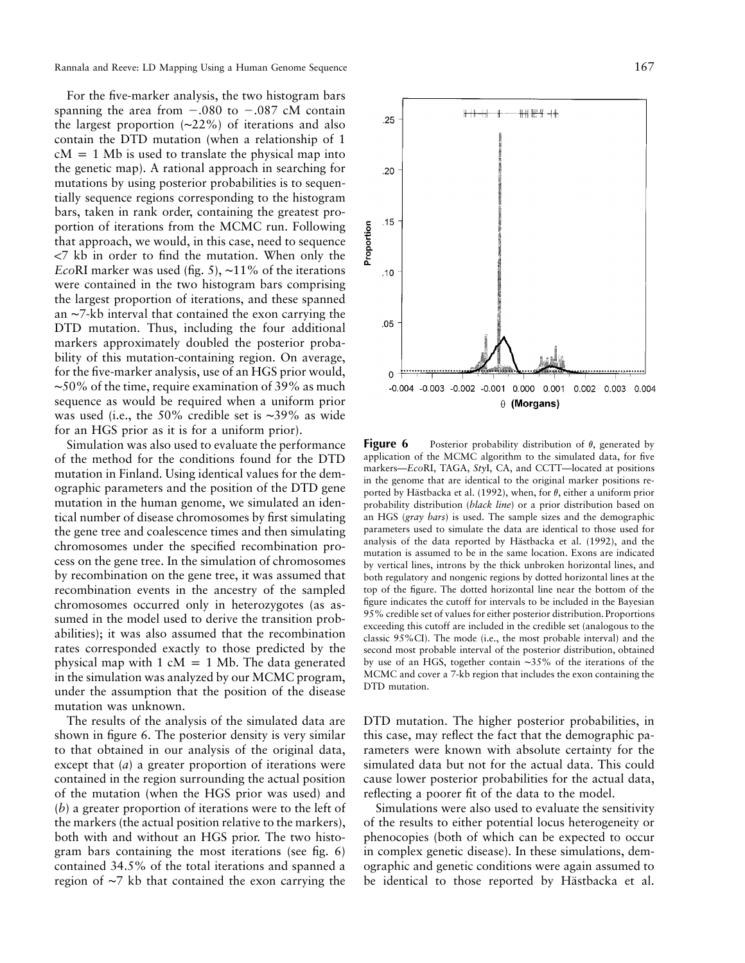For the five-marker analysis, the two histogram bars spanning the area from  $-.080$  to  $-.087$  cM contain the largest proportion (∼22%) of iterations and also contain the DTD mutation (when a relationship of 1  $cM = 1$  Mb is used to translate the physical map into the genetic map). A rational approach in searching for mutations by using posterior probabilities is to sequentially sequence regions corresponding to the histogram bars, taken in rank order, containing the greatest proportion of iterations from the MCMC run. Following that approach, we would, in this case, need to sequence  $\langle 7 \rangle$  kb in order to find the mutation. When only the *Eco*RI marker was used (fig. 5), ∼11% of the iterations were contained in the two histogram bars comprising the largest proportion of iterations, and these spanned an ∼7-kb interval that contained the exon carrying the DTD mutation. Thus, including the four additional markers approximately doubled the posterior probability of this mutation-containing region. On average, for the five-marker analysis, use of an HGS prior would, ∼50% of the time, require examination of 39% as much sequence as would be required when a uniform prior was used (i.e., the 50% credible set is ∼39% as wide for an HGS prior as it is for a uniform prior).

Simulation was also used to evaluate the performance of the method for the conditions found for the DTD mutation in Finland. Using identical values for the demographic parameters and the position of the DTD gene mutation in the human genome, we simulated an identical number of disease chromosomes by first simulating the gene tree and coalescence times and then simulating chromosomes under the specified recombination process on the gene tree. In the simulation of chromosomes by recombination on the gene tree, it was assumed that recombination events in the ancestry of the sampled chromosomes occurred only in heterozygotes (as assumed in the model used to derive the transition probabilities); it was also assumed that the recombination rates corresponded exactly to those predicted by the physical map with 1 cM = 1 Mb. The data generated in the simulation was analyzed by our MCMC program, under the assumption that the position of the disease mutation was unknown.

The results of the analysis of the simulated data are shown in figure 6. The posterior density is very similar to that obtained in our analysis of the original data, except that (*a*) a greater proportion of iterations were contained in the region surrounding the actual position of the mutation (when the HGS prior was used) and (*b*) a greater proportion of iterations were to the left of the markers (the actual position relative to the markers), both with and without an HGS prior. The two histogram bars containing the most iterations (see fig. 6) contained 34.5% of the total iterations and spanned a region of ∼7 kb that contained the exon carrying the



**Figure 6** Posterior probability distribution of  $\theta$ , generated by application of the MCMC algorithm to the simulated data, for five markers—*Eco*RI, TAGA, *Sty*I, CA, and CCTT—located at positions in the genome that are identical to the original marker positions reported by Hästbacka et al. (1992), when, for  $\theta$ , either a uniform prior probability distribution (*black line*) or a prior distribution based on an HGS (*gray bars*) is used. The sample sizes and the demographic parameters used to simulate the data are identical to those used for analysis of the data reported by Hästbacka et al. (1992), and the mutation is assumed to be in the same location. Exons are indicated by vertical lines, introns by the thick unbroken horizontal lines, and both regulatory and nongenic regions by dotted horizontal lines at the top of the figure. The dotted horizontal line near the bottom of the figure indicates the cutoff for intervals to be included in the Bayesian 95% credible set of values for either posterior distribution.Proportions exceeding this cutoff are included in the credible set (analogous to the classic 95%CI). The mode (i.e., the most probable interval) and the second most probable interval of the posterior distribution, obtained by use of an HGS, together contain ∼35% of the iterations of the MCMC and cover a 7-kb region that includes the exon containing the DTD mutation.

DTD mutation. The higher posterior probabilities, in this case, may reflect the fact that the demographic parameters were known with absolute certainty for the simulated data but not for the actual data. This could cause lower posterior probabilities for the actual data, reflecting a poorer fit of the data to the model.

Simulations were also used to evaluate the sensitivity of the results to either potential locus heterogeneity or phenocopies (both of which can be expected to occur in complex genetic disease). In these simulations, demographic and genetic conditions were again assumed to be identical to those reported by Hästbacka et al.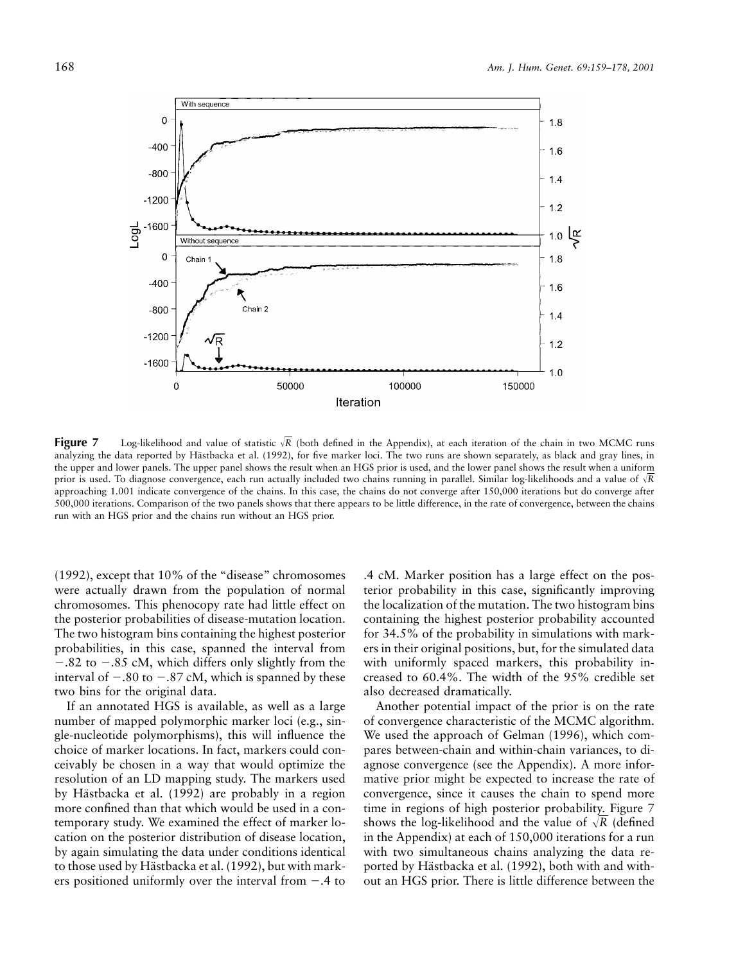

**Figure 7** Log-likelihood and value of statistic  $\sqrt{R}$  (both defined in the Appendix), at each iteration of the chain in two MCMC runs analyzing the data reported by Hästbacka et al. (1992), for five marker loci. The two runs are shown separately, as black and gray lines, in the upper and lower panels. The upper panel shows the result when an HGS prior is used, and the lower panel shows the result when a uniform prior is used. To diagnose convergence, each run actually included two chains running in parallel. Similar log-likelihoods and a value of  $\sqrt{R}$ approaching 1.001 indicate convergence of the chains. In this case, the chains do not converge after 150,000 iterations but do converge after 500,000 iterations. Comparison of the two panels shows that there appears to be little difference, in the rate of convergence, between the chains run with an HGS prior and the chains run without an HGS prior.

(1992), except that 10% of the "disease" chromosomes were actually drawn from the population of normal chromosomes. This phenocopy rate had little effect on the posterior probabilities of disease-mutation location. The two histogram bins containing the highest posterior probabilities, in this case, spanned the interval from  $-.82$  to  $-.85$  cM, which differs only slightly from the interval of  $-.80$  to  $-.87$  cM, which is spanned by these two bins for the original data.

If an annotated HGS is available, as well as a large number of mapped polymorphic marker loci (e.g., single-nucleotide polymorphisms), this will influence the choice of marker locations. In fact, markers could conceivably be chosen in a way that would optimize the resolution of an LD mapping study. The markers used by Hästbacka et al. (1992) are probably in a region more confined than that which would be used in a contemporary study. We examined the effect of marker location on the posterior distribution of disease location, by again simulating the data under conditions identical to those used by Hästbacka et al. (1992), but with markers positioned uniformly over the interval from -.4 to

.4 cM. Marker position has a large effect on the posterior probability in this case, significantly improving the localization of the mutation. The two histogram bins containing the highest posterior probability accounted for 34.5% of the probability in simulations with markers in their original positions, but, for the simulated data with uniformly spaced markers, this probability increased to 60.4%. The width of the 95% credible set also decreased dramatically.

Another potential impact of the prior is on the rate of convergence characteristic of the MCMC algorithm. We used the approach of Gelman (1996), which compares between-chain and within-chain variances, to diagnose convergence (see the Appendix). A more informative prior might be expected to increase the rate of convergence, since it causes the chain to spend more time in regions of high posterior probability. Figure 7 shows the log-likelihood and the value of  $\sqrt{R}$  (defined in the Appendix) at each of 150,000 iterations for a run with two simultaneous chains analyzing the data reported by Hästbacka et al. (1992), both with and without an HGS prior. There is little difference between the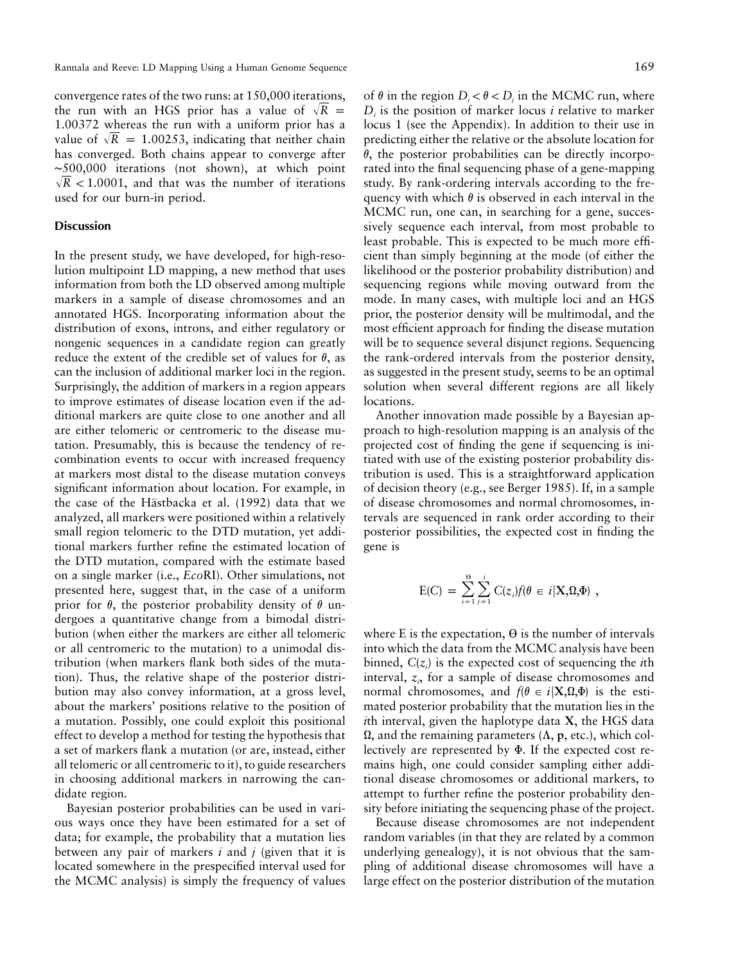convergence rates of the two runs: at 150,000 iterations, the run with an HGS prior has a value of  $\sqrt{R}$  = 1.00372 whereas the run with a uniform prior has a value of  $\sqrt{R}$  = 1.00253, indicating that neither chain has converged. Both chains appear to converge after ∼500,000 iterations (not shown), at which point  $\sqrt{R}$  < 1.0001, and that was the number of iterations used for our burn-in period.

#### **Discussion**

In the present study, we have developed, for high-resolution multipoint LD mapping, a new method that uses information from both the LD observed among multiple markers in a sample of disease chromosomes and an annotated HGS. Incorporating information about the distribution of exons, introns, and either regulatory or nongenic sequences in a candidate region can greatly reduce the extent of the credible set of values for  $\theta$ , as can the inclusion of additional marker loci in the region. Surprisingly, the addition of markers in a region appears to improve estimates of disease location even if the additional markers are quite close to one another and all are either telomeric or centromeric to the disease mutation. Presumably, this is because the tendency of recombination events to occur with increased frequency at markers most distal to the disease mutation conveys significant information about location. For example, in the case of the Hästbacka et al. (1992) data that we analyzed, all markers were positioned within a relatively small region telomeric to the DTD mutation, yet additional markers further refine the estimated location of the DTD mutation, compared with the estimate based on a single marker (i.e., *Eco*RI). Other simulations, not presented here, suggest that, in the case of a uniform prior for  $\theta$ , the posterior probability density of  $\theta$  undergoes a quantitative change from a bimodal distribution (when either the markers are either all telomeric or all centromeric to the mutation) to a unimodal distribution (when markers flank both sides of the mutation). Thus, the relative shape of the posterior distribution may also convey information, at a gross level, about the markers' positions relative to the position of a mutation. Possibly, one could exploit this positional effect to develop a method for testing the hypothesis that a set of markers flank a mutation (or are, instead, either all telomeric or all centromeric to it), to guide researchers in choosing additional markers in narrowing the candidate region.

Bayesian posterior probabilities can be used in various ways once they have been estimated for a set of data; for example, the probability that a mutation lies between any pair of markers *i* and *j* (given that it is located somewhere in the prespecified interval used for the MCMC analysis) is simply the frequency of values

of  $\theta$  in the region  $D_i < \theta < D_i$  in the MCMC run, where *Di* is the position of marker locus *i* relative to marker locus 1 (see the Appendix). In addition to their use in predicting either the relative or the absolute location for  $\theta$ , the posterior probabilities can be directly incorporated into the final sequencing phase of a gene-mapping study. By rank-ordering intervals according to the frequency with which  $\theta$  is observed in each interval in the MCMC run, one can, in searching for a gene, successively sequence each interval, from most probable to least probable. This is expected to be much more efficient than simply beginning at the mode (of either the likelihood or the posterior probability distribution) and sequencing regions while moving outward from the mode. In many cases, with multiple loci and an HGS prior, the posterior density will be multimodal, and the most efficient approach for finding the disease mutation will be to sequence several disjunct regions. Sequencing the rank-ordered intervals from the posterior density, as suggested in the present study, seems to be an optimal solution when several different regions are all likely locations.

Another innovation made possible by a Bayesian approach to high-resolution mapping is an analysis of the projected cost of finding the gene if sequencing is initiated with use of the existing posterior probability distribution is used. This is a straightforward application of decision theory (e.g., see Berger 1985). If, in a sample of disease chromosomes and normal chromosomes, intervals are sequenced in rank order according to their posterior possibilities, the expected cost in finding the gene is

$$
E(C) = \sum_{i=1}^{9} \sum_{j=1}^{i} C(z_i) f(\theta \in i | X, \Omega, \Phi) ,
$$

where E is the expectation,  $\Theta$  is the number of intervals into which the data from the MCMC analysis have been binned,  $C(z_i)$  is the expected cost of sequencing the *i*th interval, *zi* , for a sample of disease chromosomes and normal chromosomes, and  $f(\theta \in i|\mathbf{X},\Omega,\Phi)$  is the estimated posterior probability that the mutation lies in the *i*th interval, given the haplotype data **X**, the HGS data  $\Omega$ , and the remaining parameters  $(\Lambda, \mathbf{p}, \text{etc.})$ , which collectively are represented by  $\Phi$ . If the expected cost remains high, one could consider sampling either additional disease chromosomes or additional markers, to attempt to further refine the posterior probability density before initiating the sequencing phase of the project.

Because disease chromosomes are not independent random variables (in that they are related by a common underlying genealogy), it is not obvious that the sampling of additional disease chromosomes will have a large effect on the posterior distribution of the mutation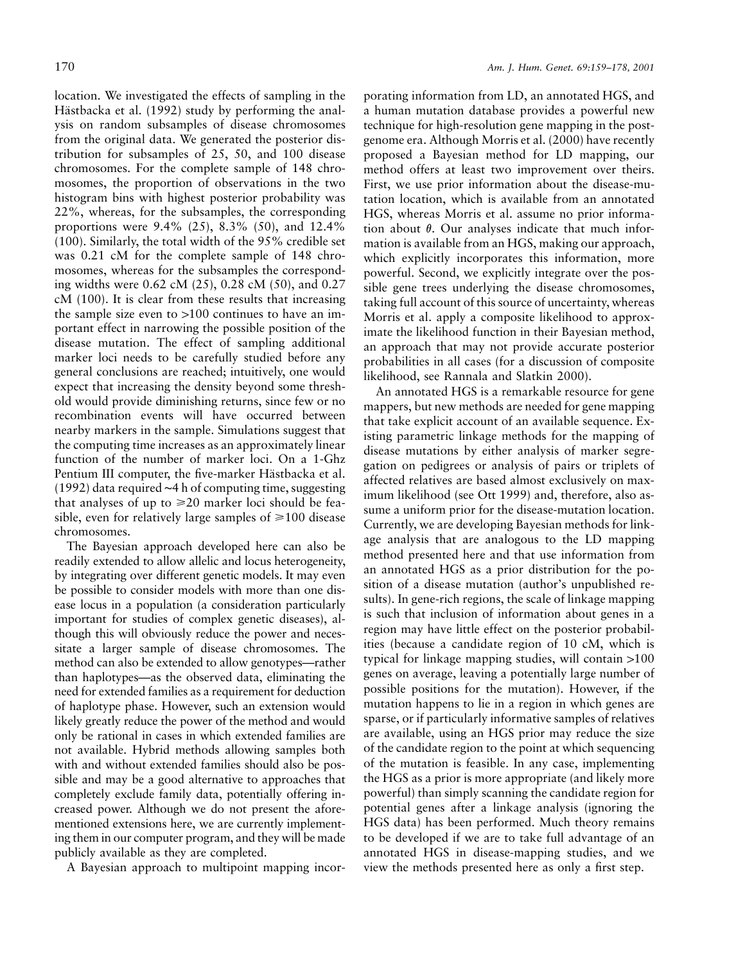location. We investigated the effects of sampling in the Hästbacka et al. (1992) study by performing the analysis on random subsamples of disease chromosomes from the original data. We generated the posterior distribution for subsamples of 25, 50, and 100 disease chromosomes. For the complete sample of 148 chromosomes, the proportion of observations in the two histogram bins with highest posterior probability was 22%, whereas, for the subsamples, the corresponding proportions were 9.4% (25), 8.3% (50), and 12.4% (100). Similarly, the total width of the 95% credible set was 0.21 cM for the complete sample of 148 chromosomes, whereas for the subsamples the corresponding widths were 0.62 cM (25), 0.28 cM (50), and 0.27 cM (100). It is clear from these results that increasing the sample size even to  $>100$  continues to have an important effect in narrowing the possible position of the disease mutation. The effect of sampling additional marker loci needs to be carefully studied before any general conclusions are reached; intuitively, one would expect that increasing the density beyond some threshold would provide diminishing returns, since few or no recombination events will have occurred between nearby markers in the sample. Simulations suggest that the computing time increases as an approximately linear function of the number of marker loci. On a 1-Ghz Pentium III computer, the five-marker Hästbacka et al. (1992) data required ∼4 h of computing time, suggesting that analyses of up to  $\geq 20$  marker loci should be feasible, even for relatively large samples of  $\geq 100$  disease chromosomes.

The Bayesian approach developed here can also be readily extended to allow allelic and locus heterogeneity, by integrating over different genetic models. It may even be possible to consider models with more than one disease locus in a population (a consideration particularly important for studies of complex genetic diseases), although this will obviously reduce the power and necessitate a larger sample of disease chromosomes. The method can also be extended to allow genotypes—rather than haplotypes—as the observed data, eliminating the need for extended families as a requirement for deduction of haplotype phase. However, such an extension would likely greatly reduce the power of the method and would only be rational in cases in which extended families are not available. Hybrid methods allowing samples both with and without extended families should also be possible and may be a good alternative to approaches that completely exclude family data, potentially offering increased power. Although we do not present the aforementioned extensions here, we are currently implementing them in our computer program, and they will be made publicly available as they are completed.

A Bayesian approach to multipoint mapping incor-

porating information from LD, an annotated HGS, and a human mutation database provides a powerful new technique for high-resolution gene mapping in the postgenome era. Although Morris et al. (2000) have recently proposed a Bayesian method for LD mapping, our method offers at least two improvement over theirs. First, we use prior information about the disease-mutation location, which is available from an annotated HGS, whereas Morris et al. assume no prior information about  $\theta$ . Our analyses indicate that much information is available from an HGS, making our approach, which explicitly incorporates this information, more powerful. Second, we explicitly integrate over the possible gene trees underlying the disease chromosomes, taking full account of this source of uncertainty, whereas Morris et al. apply a composite likelihood to approximate the likelihood function in their Bayesian method, an approach that may not provide accurate posterior probabilities in all cases (for a discussion of composite likelihood, see Rannala and Slatkin 2000).

An annotated HGS is a remarkable resource for gene mappers, but new methods are needed for gene mapping that take explicit account of an available sequence. Existing parametric linkage methods for the mapping of disease mutations by either analysis of marker segregation on pedigrees or analysis of pairs or triplets of affected relatives are based almost exclusively on maximum likelihood (see Ott 1999) and, therefore, also assume a uniform prior for the disease-mutation location. Currently, we are developing Bayesian methods for linkage analysis that are analogous to the LD mapping method presented here and that use information from an annotated HGS as a prior distribution for the position of a disease mutation (author's unpublished results). In gene-rich regions, the scale of linkage mapping is such that inclusion of information about genes in a region may have little effect on the posterior probabilities (because a candidate region of 10 cM, which is typical for linkage mapping studies, will contain  $>100$ genes on average, leaving a potentially large number of possible positions for the mutation). However, if the mutation happens to lie in a region in which genes are sparse, or if particularly informative samples of relatives are available, using an HGS prior may reduce the size of the candidate region to the point at which sequencing of the mutation is feasible. In any case, implementing the HGS as a prior is more appropriate (and likely more powerful) than simply scanning the candidate region for potential genes after a linkage analysis (ignoring the HGS data) has been performed. Much theory remains to be developed if we are to take full advantage of an annotated HGS in disease-mapping studies, and we view the methods presented here as only a first step.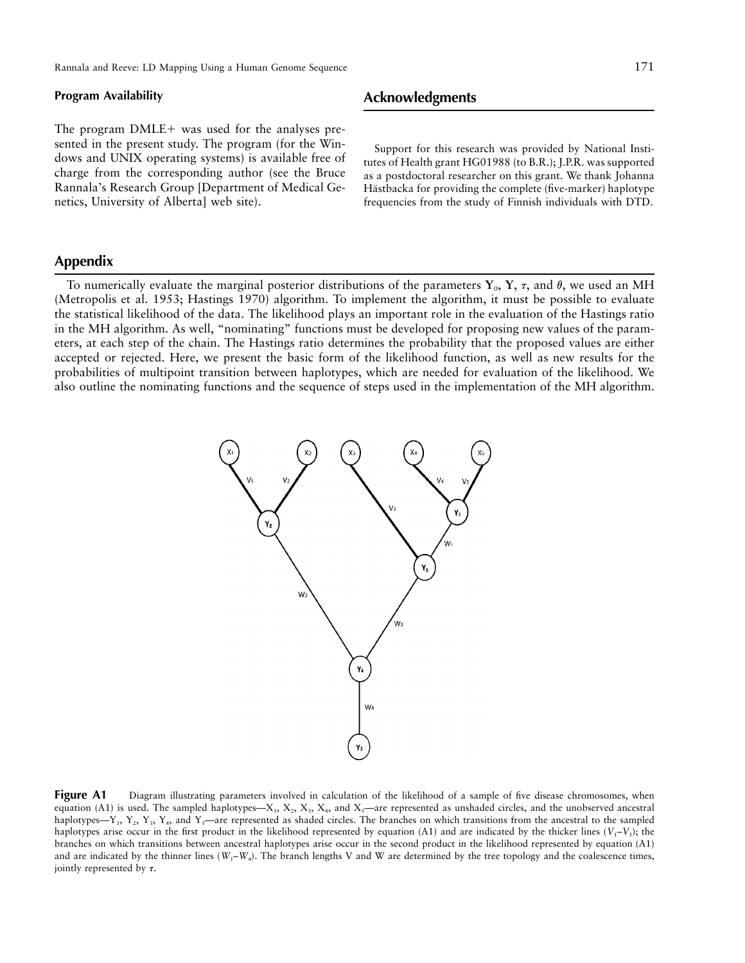#### **Program Availability**

The program  $DMLE$  was used for the analyses presented in the present study. The program (for the Windows and UNIX operating systems) is available free of charge from the corresponding author (see the Bruce Rannala's Research Group [Department of Medical Genetics, University of Alberta] web site).

# **Acknowledgments**

Support for this research was provided by National Institutes of Health grant HG01988 (to B.R.); J.P.R. was supported as a postdoctoral researcher on this grant. We thank Johanna Hästbacka for providing the complete (five-marker) haplotype frequencies from the study of Finnish individuals with DTD.

# **Appendix**

To numerically evaluate the marginal posterior distributions of the parameters  $Y_0$ ,  $Y$ ,  $\tau$ , and  $\theta$ , we used an MH (Metropolis et al. 1953; Hastings 1970) algorithm. To implement the algorithm, it must be possible to evaluate the statistical likelihood of the data. The likelihood plays an important role in the evaluation of the Hastings ratio in the MH algorithm. As well, "nominating" functions must be developed for proposing new values of the parameters, at each step of the chain. The Hastings ratio determines the probability that the proposed values are either accepted or rejected. Here, we present the basic form of the likelihood function, as well as new results for the probabilities of multipoint transition between haplotypes, which are needed for evaluation of the likelihood. We also outline the nominating functions and the sequence of steps used in the implementation of the MH algorithm.



**Figure A1** Diagram illustrating parameters involved in calculation of the likelihood of a sample of five disease chromosomes, when equation (A1) is used. The sampled haplotypes—X<sub>1</sub>, X<sub>2</sub>, X<sub>3</sub>, X<sub>4</sub>, and X<sub>5</sub>—are represented as unshaded circles, and the unobserved ancestral haplotypes—Y<sub>1</sub>, Y<sub>2</sub>, Y<sub>3</sub>, Y<sub>4</sub>, and Y<sub>5</sub>—are represented as shaded circles. The branches on which transitions from the ancestral to the sampled haplotypes arise occur in the first product in the likelihood represented by equation (A1) and are indicated by the thicker lines  $(V_1-V_2)$ ; the branches on which transitions between ancestral haplotypes arise occur in the second product in the likelihood represented by equation (A1) and are indicated by the thinner lines  $(W_1-W_4)$ . The branch lengths V and W are determined by the tree topology and the coalescence times, jointly represented by  $\tau$ .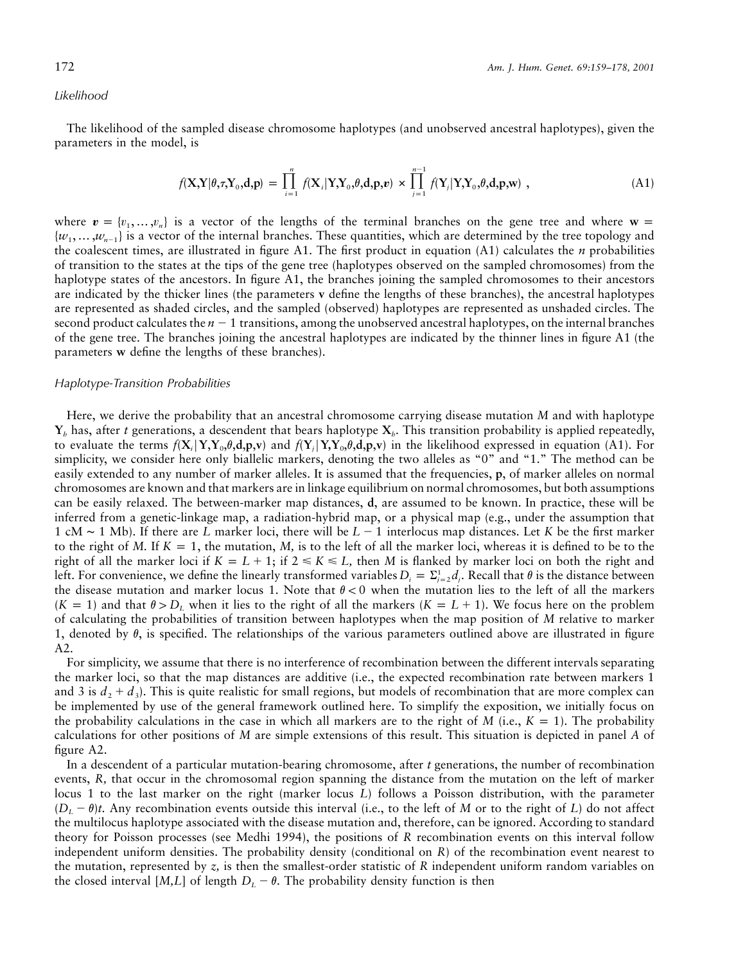#### *Likelihood*

The likelihood of the sampled disease chromosome haplotypes (and unobserved ancestral haplotypes), given the parameters in the model, is

$$
f(\mathbf{X},\mathbf{Y}|\theta,\tau,\mathbf{Y}_0,\mathbf{d},\mathbf{p}) = \prod_{i=1}^n f(\mathbf{X}_i|\mathbf{Y},\mathbf{Y}_0,\theta,\mathbf{d},\mathbf{p},\mathbf{v}) \times \prod_{j=1}^{n-1} f(\mathbf{Y}_j|\mathbf{Y},\mathbf{Y}_0,\theta,\mathbf{d},\mathbf{p},\mathbf{w}) ,
$$
 (A1)

where  $v = \{v_1, \ldots, v_n\}$  is a vector of the lengths of the terminal branches on the gene tree and where  $w =$  $\{w_1, \ldots, w_{n-1}\}$  is a vector of the internal branches. These quantities, which are determined by the tree topology and the coalescent times, are illustrated in figure A1. The first product in equation (A1) calculates the *n* probabilities of transition to the states at the tips of the gene tree (haplotypes observed on the sampled chromosomes) from the haplotype states of the ancestors. In figure A1, the branches joining the sampled chromosomes to their ancestors are indicated by the thicker lines (the parameters **v** define the lengths of these branches), the ancestral haplotypes are represented as shaded circles, and the sampled (observed) haplotypes are represented as unshaded circles. The second product calculates the  $n-1$  transitions, among the unobserved ancestral haplotypes, on the internal branches of the gene tree. The branches joining the ancestral haplotypes are indicated by the thinner lines in figure A1 (the parameters **w** define the lengths of these branches).

#### *Haplotype-Transition Probabilities*

Here, we derive the probability that an ancestral chromosome carrying disease mutation *M* and with haplotype **Y***<sup>h</sup>* has, after *t* generations, a descendent that bears haplotype **X***h*. This transition probability is applied repeatedly, to evaluate the terms  $f(X_i|Y,Y_0,\theta,d,p,v)$  and  $f(Y_i|Y,Y_0,\theta,d,p,v)$  in the likelihood expressed in equation (A1). For simplicity, we consider here only biallelic markers, denoting the two alleles as "0" and "1." The method can be easily extended to any number of marker alleles. It is assumed that the frequencies, **p**, of marker alleles on normal chromosomes are known and that markers are in linkage equilibrium on normal chromosomes, but both assumptions can be easily relaxed. The between-marker map distances, **d**, are assumed to be known. In practice, these will be inferred from a genetic-linkage map, a radiation-hybrid map, or a physical map (e.g., under the assumption that 1 cM ~ 1 Mb). If there are *L* marker loci, there will be *L* − 1 interlocus map distances. Let *K* be the first marker to the right of *M*. If  $K = 1$ , the mutation, *M*, is to the left of all the marker loci, whereas it is defined to be to the right of all the marker loci if  $K = L + 1$ ; if  $2 \le K \le L$ , then *M* is flanked by marker loci on both the right and left. For convenience, we define the linearly transformed variables  $D_i = \sum_{j=2}^1 d_j$ . Recall that  $\theta$  is the distance between the disease mutation and marker locus 1. Note that  $\theta < 0$  when the mutation lies to the left of all the markers  $(K = 1)$  and that  $\theta > D<sub>L</sub>$  when it lies to the right of all the markers  $(K = L + 1)$ . We focus here on the problem of calculating the probabilities of transition between haplotypes when the map position of *M* relative to marker 1, denoted by  $\theta$ , is specified. The relationships of the various parameters outlined above are illustrated in figure A2.

For simplicity, we assume that there is no interference of recombination between the different intervals separating the marker loci, so that the map distances are additive (i.e., the expected recombination rate between markers 1 and 3 is  $d_2 + d_3$ ). This is quite realistic for small regions, but models of recombination that are more complex can be implemented by use of the general framework outlined here. To simplify the exposition, we initially focus on the probability calculations in the case in which all markers are to the right of *M* (i.e.,  $K = 1$ ). The probability calculations for other positions of *M* are simple extensions of this result. This situation is depicted in panel *A* of figure A2.

In a descendent of a particular mutation-bearing chromosome, after *t* generations, the number of recombination events, *R,* that occur in the chromosomal region spanning the distance from the mutation on the left of marker locus 1 to the last marker on the right (marker locus *L*) follows a Poisson distribution, with the parameter  $(D_L - \theta)t$ . Any recombination events outside this interval (i.e., to the left of *M* or to the right of *L*) do not affect the multilocus haplotype associated with the disease mutation and, therefore, can be ignored. According to standard theory for Poisson processes (see Medhi 1994), the positions of *R* recombination events on this interval follow independent uniform densities. The probability density (conditional on *R*) of the recombination event nearest to the mutation, represented by *z,* is then the smallest-order statistic of *R* independent uniform random variables on the closed interval [*M,L*] of length  $D_L - \theta$ . The probability density function is then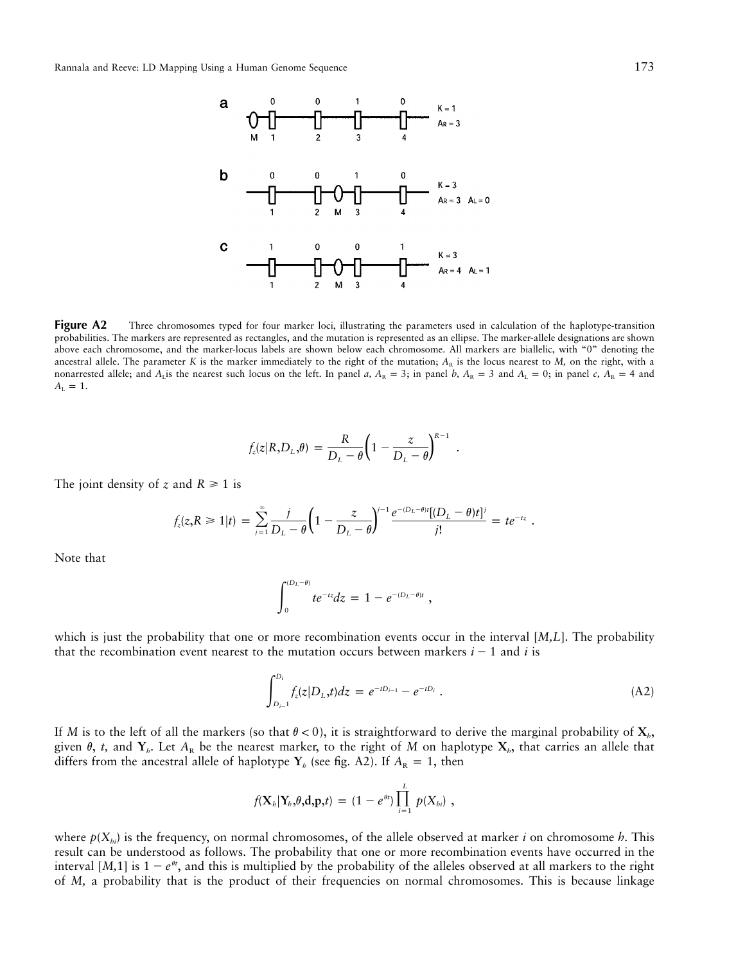

**Figure A2** Three chromosomes typed for four marker loci, illustrating the parameters used in calculation of the haplotype-transition probabilities. The markers are represented as rectangles, and the mutation is represented as an ellipse. The marker-allele designations are shown above each chromosome, and the marker-locus labels are shown below each chromosome. All markers are biallelic, with "0" denoting the ancestral allele. The parameter *K* is the marker immediately to the right of the mutation;  $A_R$  is the locus nearest to *M*, on the right, with a nonarrested allele; and  $A_L$  is the nearest such locus on the left. In panel *a*,  $A_R = 3$ ; in panel *b*,  $A_R = 3$  and  $A_L = 0$ ; in panel *c*,  $A_R = 4$  and  $A_{\rm L} = 1.$ 

$$
f_z(z|R,D_L,\theta) = \frac{R}{D_L - \theta} \left(1 - \frac{z}{D_L - \theta}\right)^{R-1}.
$$

The joint density of *z* and  $R \ge 1$  is

$$
f_z(z,R \geq 1|t) = \sum_{j=1}^{\infty} \frac{j}{D_L - \theta} \left(1 - \frac{z}{D_L - \theta}\right)^{j-1} \frac{e^{-(D_L - \theta)t}[(D_L - \theta)t]^j}{j!} = t e^{-tz}.
$$

Note that

$$
\int_0^{(D_L - \theta)} t e^{-tz} dz = 1 - e^{-(D_L - \theta)t} ,
$$

which is just the probability that one or more recombination events occur in the interval [*M,L*]. The probability that the recombination event nearest to the mutation occurs between markers  $i - 1$  and  $i$  is

$$
\int_{D_{i-1}}^{D_i} f_z(z|D_L,t)dz = e^{-tD_{i-1}} - e^{-tD_i} . \tag{A2}
$$

If *M* is to the left of all the markers (so that  $\theta < 0$ ), it is straightforward to derive the marginal probability of  $X_h$ , given  $\theta$ , *t*, and  $Y_h$ . Let  $A_R$  be the nearest marker, to the right of *M* on haplotype  $X_h$ , that carries an allele that differs from the ancestral allele of haplotype  $Y_h$  (see fig. A2). If  $A_R = 1$ , then

$$
f(\mathbf{X}_{b}|\mathbf{Y}_{b},\theta,\mathbf{d},\mathbf{p},t) = (1-e^{\theta t})\prod_{i=1}^{L} p(X_{bi}),
$$

where  $p(X_{hi})$  is the frequency, on normal chromosomes, of the allele observed at marker *i* on chromosome *h*. This result can be understood as follows. The probability that one or more recombination events have occurred in the interval [M,1] is  $1 - e^{i\theta}$ , and this is multiplied by the probability of the alleles observed at all markers to the right of *M,* a probability that is the product of their frequencies on normal chromosomes. This is because linkage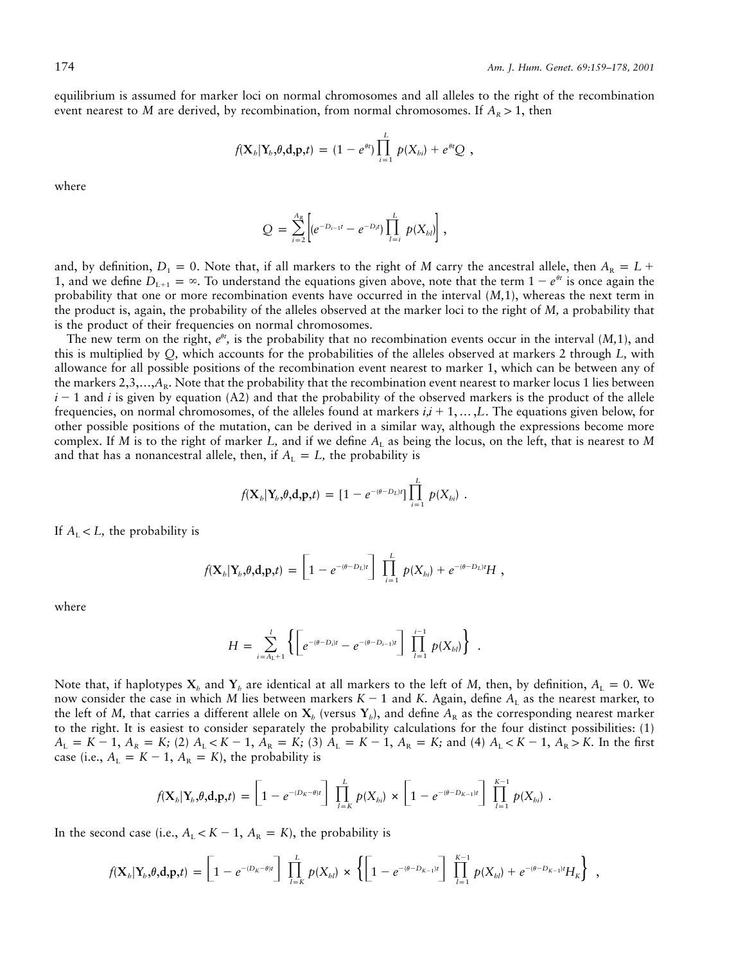equilibrium is assumed for marker loci on normal chromosomes and all alleles to the right of the recombination event nearest to *M* are derived, by recombination, from normal chromosomes. If  $A_R > 1$ , then

$$
f(\mathbf{X}_h|\mathbf{Y}_h,\theta,\mathbf{d},\mathbf{p},t) = (1-e^{\theta t})\prod_{i=1}^L p(X_{hi}) + e^{\theta t} Q ,
$$

where

$$
Q = \sum_{i=2}^{A_R} \left[ (e^{-D_{i-1}t} - e^{-D_i t}) \prod_{l=i}^{L} p(X_{hl}) \right],
$$

and, by definition,  $D_1 = 0$ . Note that, if all markers to the right of *M* carry the ancestral allele, then  $A_R = L$  + 1, and we define  $D_{L+1} = \infty$ . To understand the equations given above, note that the term  $1 - e^{i\theta}$  is once again the probability that one or more recombination events have occurred in the interval (*M,*1), whereas the next term in the product is, again, the probability of the alleles observed at the marker loci to the right of *M,* a probability that is the product of their frequencies on normal chromosomes.

The new term on the right,  $e^{\theta t}$ , is the probability that no recombination events occur in the interval  $(M,1)$ , and this is multiplied by *Q,* which accounts for the probabilities of the alleles observed at markers 2 through *L,* with allowance for all possible positions of the recombination event nearest to marker 1, which can be between any of the markers  $2,3,...,A_R$ . Note that the probability that the recombination event nearest to marker locus 1 lies between  $i-1$  and *i* is given by equation (A2) and that the probability of the observed markers is the product of the allele frequencies, on normal chromosomes, of the alleles found at markers  $i, i + 1, \ldots, L$ . The equations given below, for other possible positions of the mutation, can be derived in a similar way, although the expressions become more complex. If *M* is to the right of marker *L*, and if we define  $A_L$  as being the locus, on the left, that is nearest to *M* and that has a nonancestral allele, then, if  $A_L = L$ , the probability is

$$
f(\mathbf{X}_{h}|\mathbf{Y}_{h},\theta,\mathbf{d},\mathbf{p},t) = [1 - e^{-(\theta-D_{L})t}] \prod_{i=1}^{L} p(X_{hi}).
$$

If  $A_L < L$ , the probability is

$$
f(\mathbf{X}_h|\mathbf{Y}_h,\theta,\mathbf{d},\mathbf{p},t) = \left[1 - e^{-(\theta - D_L)t}\right] \prod_{i=1}^L p(X_{hi}) + e^{-(\theta - D_L)t}H,
$$

where

$$
H = \sum_{i=A_{L}+1}^{l} \left\{ \left[ e^{-(\theta-D_{i})t} - e^{-(\theta-D_{i-1})t} \right] \prod_{l=1}^{i-1} p(X_{bl}) \right\} .
$$

Note that, if haplotypes  $X_h$  and  $Y_h$  are identical at all markers to the left of *M*, then, by definition,  $A_L = 0$ . We now consider the case in which *M* lies between markers  $K-1$  and  $K$ . Again, define  $A_L$  as the nearest marker, to the left of *M*, that carries a different allele on  $X_h$  (versus  $Y_h$ ), and define  $A_R$  as the corresponding nearest marker to the right. It is easiest to consider separately the probability calculations for the four distinct possibilities: (1)  $A_L = K - 1$ ,  $A_R = K$ ; (2)  $A_L < K - 1$ ,  $A_R = K$ ; (3)  $A_L = K - 1$ ,  $A_R = K$ ; and (4)  $A_L < K - 1$ ,  $A_R > K$ . In the first case (i.e.,  $A_L = K - 1$ ,  $A_R = K$ ), the probability is

$$
f(\mathbf{X}_h|\mathbf{Y}_h,\theta,\mathbf{d},\mathbf{p},t) = \left[1 - e^{-(D_K - \theta)t}\right] \prod_{l=K}^L p(X_{hi}) \times \left[1 - e^{-(\theta - D_{K-1})t}\right] \prod_{l=1}^{K-1} p(X_{hi}).
$$

In the second case (i.e.,  $A_L < K - 1$ ,  $A_R = K$ ), the probability is

$$
f(\mathbf{X}_h|\mathbf{Y}_h,\theta,\mathbf{d},\mathbf{p},t) = \left[1 - e^{-(D_K - \theta)t}\right] \prod_{l=k}^L p(X_{bl}) \times \left\{\left[1 - e^{-(\theta - D_{K-1})t}\right] \prod_{l=1}^{K-1} p(X_{bl}) + e^{-(\theta - D_{K-1})t} H_K\right\},
$$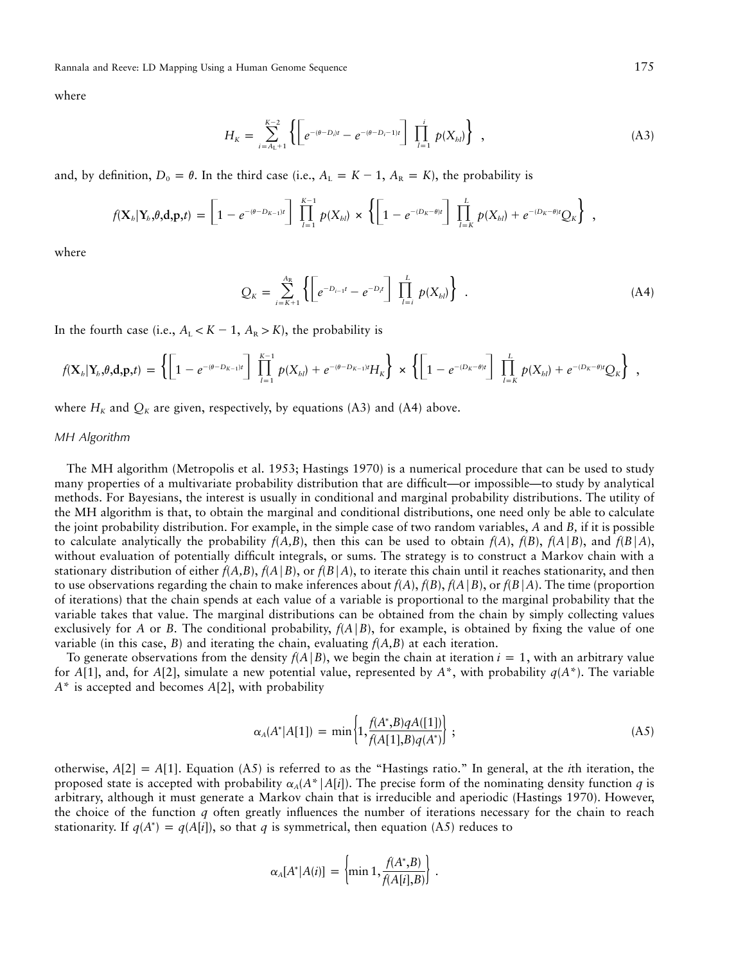where

$$
H_K = \sum_{i=A_{L}+1}^{K-2} \left\{ \left[ e^{-(\theta-D_i)t} - e^{-(\theta-D_i-1)t} \right] \prod_{l=1}^{i} p(X_{hl}) \right\} , \qquad (A3)
$$

and, by definition,  $D_0 = \theta$ . In the third case (i.e.,  $A_L = K - 1$ ,  $A_R = K$ ), the probability is

$$
f(\mathbf{X}_h|\mathbf{Y}_h,\theta,\mathbf{d},\mathbf{p},t) = \left[1 - e^{-(\theta - D_{K-1})t}\right] \prod_{l=1}^{K-1} p(X_{hl}) \times \left\{ \left[1 - e^{-(D_K-\theta)t}\right] \prod_{l=K}^{L} p(X_{hl}) + e^{-(D_K-\theta)t} Q_K \right\} ,
$$

where

$$
Q_K = \sum_{i=K+1}^{A_R} \left\{ \left[ e^{-D_{i-1}t} - e^{-D_{i}t} \right] \prod_{l=i}^{L} p(X_{bl}) \right\} . \tag{A4}
$$

In the fourth case (i.e.,  $A_L < K - 1$ ,  $A_R > K$ ), the probability is

$$
f(\mathbf{X}_h|\mathbf{Y}_h,\theta,\mathbf{d},\mathbf{p},t) = \left\{ \left[1 - e^{-(\theta - D_{K-1})t} \right] \prod_{l=1}^{K-1} p(X_{hl}) + e^{-(\theta - D_{K-1})t} H_K \right\} \times \left\{ \left[1 - e^{-(D_K - \theta)t} \right] \prod_{l=K}^{L} p(X_{hl}) + e^{-(D_K - \theta)t} Q_K \right\} ,
$$

where  $H_K$  and  $Q_K$  are given, respectively, by equations (A3) and (A4) above.

#### *MH Algorithm*

The MH algorithm (Metropolis et al. 1953; Hastings 1970) is a numerical procedure that can be used to study many properties of a multivariate probability distribution that are difficult—or impossible—to study by analytical methods. For Bayesians, the interest is usually in conditional and marginal probability distributions. The utility of the MH algorithm is that, to obtain the marginal and conditional distributions, one need only be able to calculate the joint probability distribution. For example, in the simple case of two random variables, *A* and *B,* if it is possible to calculate analytically the probability  $f(A,B)$ , then this can be used to obtain  $f(A)$ ,  $f(B)$ ,  $f(A|B)$ , and  $f(B|A)$ , without evaluation of potentially difficult integrals, or sums. The strategy is to construct a Markov chain with a stationary distribution of either  $f(A,B)$ ,  $f(A|B)$ , or  $f(B|A)$ , to iterate this chain until it reaches stationarity, and then to use observations regarding the chain to make inferences about  $f(A)$ ,  $f(B)$ ,  $f(A|B)$ , or  $f(B|A)$ . The time (proportion of iterations) that the chain spends at each value of a variable is proportional to the marginal probability that the variable takes that value. The marginal distributions can be obtained from the chain by simply collecting values exclusively for *A* or *B*. The conditional probability,  $f(A|B)$ , for example, is obtained by fixing the value of one variable (in this case,  $B$ ) and iterating the chain, evaluating  $f(A,B)$  at each iteration.

To generate observations from the density  $f(A|B)$ , we begin the chain at iteration  $i = 1$ , with an arbitrary value for *A*[1], and, for *A*[2], simulate a new potential value, represented by *A*\*, with probability *q*(*A*\*). The variable *A*\* is accepted and becomes *A*[2], with probability

$$
\alpha_A(A^*|A[1]) = \min\left\{1, \frac{f(A^*,B)qA([1])}{f(A[1],B)q(A^*)}\right\};\tag{A5}
$$

otherwise,  $A[2] = A[1]$ . Equation (A5) is referred to as the "Hastings ratio." In general, at the *i*th iteration, the proposed state is accepted with probability  $\alpha_A(A^*|A[i])$ . The precise form of the nominating density function *q* is arbitrary, although it must generate a Markov chain that is irreducible and aperiodic (Hastings 1970). However, the choice of the function *q* often greatly influences the number of iterations necessary for the chain to reach stationarity. If  $q(A^*) = q(A[i])$ , so that *q* is symmetrical, then equation (A5) reduces to

$$
\alpha_A[A^*|A(i)] = \left\{ \min \frac{f(A^*,B)}{f(A[i],B)} \right\}.
$$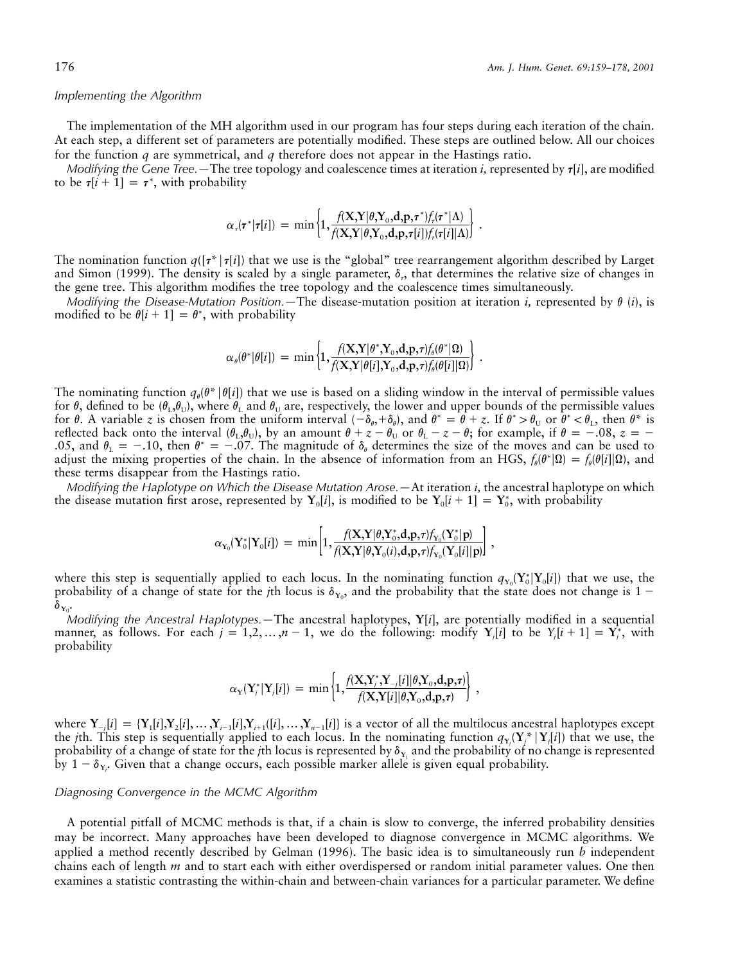#### *Implementing the Algorithm*

The implementation of the MH algorithm used in our program has four steps during each iteration of the chain. At each step, a different set of parameters are potentially modified. These steps are outlined below. All our choices for the function *q* are symmetrical, and *q* therefore does not appear in the Hastings ratio.

*Modifying the Gene Tree.*—The tree topology and coalescence times at iteration *i*, represented by  $\tau[i]$ , are modified to be  $\tau[i + 1] = \tau^*$ , with probability

$$
\alpha_{\tau}(\tau^*|\tau[i]) = \min \left\{1, \frac{f(\mathbf{X}, \mathbf{Y} | \theta, \mathbf{Y}_0, \mathbf{d}, \mathbf{p}, \tau^*) f_{\tau}(\tau^*|\Lambda)}{f(\mathbf{X}, \mathbf{Y} | \theta, \mathbf{Y}_0, \mathbf{d}, \mathbf{p}, \tau[i]) f_{\tau}(\tau[i]| \Lambda)}\right\}.
$$

The nomination function  $q([\tau^*|\tau[i])$  that we use is the "global" tree rearrangement algorithm described by Larget and Simon (1999). The density is scaled by a single parameter,  $\delta_{\tau}$ , that determines the relative size of changes in the gene tree. This algorithm modifies the tree topology and the coalescence times simultaneously.

*Modifying the Disease-Mutation Position.*—The disease-mutation position at iteration *i*, represented by  $\theta$  (*i*), is modified to be  $\theta[i + 1] = \theta^*$ , with probability

$$
\alpha_{\scriptscriptstyle{\theta}}(\theta^*|\theta[i])\,=\,\min\left\vert 1,\!\frac{f(\mathbf{X},\!\mathbf{Y}|\theta^*\!,\!\mathbf{Y}_{\scriptscriptstyle{0}},\!\mathbf{d},\!\mathbf{p},\!\tau)\!/\!{}_{\scriptscriptstyle{\theta}}(\theta^*|\Omega)}{f(\mathbf{X},\!\mathbf{Y}|\theta[i],\!\mathbf{Y}_{\scriptscriptstyle{0}},\!\mathbf{d},\!\mathbf{p},\!\tau)\!{}_{\scriptscriptstyle{\theta}}(\theta[i]| \Omega)}\right\}\,.
$$

The nominating function  $q_{\theta}(\theta^*|\theta[i])$  that we use is based on a sliding window in the interval of permissible values for  $\theta$ , defined to be  $(\theta_L, \theta_U)$ , where  $\theta_L$  and  $\theta_U$  are, respectively, the lower and upper bounds of the permissible values for  $\theta$ . A variable *z* is chosen from the uniform interval  $(-\delta_{\theta},+\delta_{\theta})$ , and  $\theta^* = \theta + z$ . If  $\theta^* > \theta_{\theta}$  or  $\theta^* < \theta_{\theta}$ , then  $\theta^*$  is reflected back onto the interval  $(\theta_L, \theta_U)$ , by an amount  $\theta + z - \theta_U$  or  $\theta_L - z - \theta$ ; for example, if  $\theta = -.08$ ,  $z = -.05$ , and  $\theta_L = -.10$ , then  $\theta^* = -.07$ . The magnitude of  $\delta_\theta$  determines the size of the moves and can be us adjust the mixing properties of the chain. In the absence of information from an HGS,  $f_{\theta}(\theta^* | \Omega) = f_{\theta}(\theta[i] | \Omega)$ , and these terms disappear from the Hastings ratio.

*Modifying the Haplotype on Which the Disease Mutation Arose.—*At iteration *i,* the ancestral haplotype on which the disease mutation first arose, represented by  $Y_0[i]$ , is modified to be  $Y_0[i+1] = Y_0^*$ , with probability

$$
\alpha_{\scriptscriptstyle \text{Y}_0}(\textbf{Y}_0^*|\textbf{Y}_0[i])\,=\,\min\!\left[1,\!\frac{f(\textbf{X},\textbf{Y}|\theta,\!\textbf{Y}_0^*,\!\textbf{d},\!\textbf{p},\!\tau)\!/\!f_{\scriptscriptstyle \text{Y}_0}(\textbf{Y}_0^*|\textbf{p})}{f(\textbf{X},\textbf{Y}|\theta,\!\textbf{Y}_0(i),\!\textbf{d},\!\textbf{p},\!\tau)\!/\!f_{\scriptscriptstyle \text{Y}_0}(\textbf{Y}_0[i]|\textbf{p})}\right]\,,
$$

where this step is sequentially applied to each locus. In the nominating function  $q_{Y_0}(Y_0^* | Y_0[i])$  that we use, the probability of a change of state for the *j*th locus is  $\delta_{x_0}$ , and the probability that the state does not change is  $1$  –  $\delta_{\mathrm{Y}_{0}}$ .

*Modifying the Ancestral Haplotypes.—*The ancestral haplotypes, **Y**[*i*], are potentially modified in a sequential manner, as follows. For each  $j = 1, 2, ..., n - 1$ , we do the following: modify  $Y_j[i]$  to be  $Y_j[i+1] = Y_j^*$ , with probability

$$
\alpha_{\mathrm{Y}}(\mathrm{Y}_{i}^*|\mathrm{Y}_{i}[i]) = \min \left\{1, \frac{f(\mathrm{X},\mathrm{Y}_{i}^*,\mathrm{Y}_{-i}[i]|\theta,\mathrm{Y}_{0},\mathrm{d},\mathrm{p},\tau)}{f(\mathrm{X},\mathrm{Y}[i]|\theta,\mathrm{Y}_{0},\mathrm{d},\mathrm{p},\tau)}\right\},
$$

where  $Y_{-i}[i] = \{Y_i[i], Y_2[i], \dots, Y_{i-1}[i], Y_{i+1}([i], \dots, Y_{n-1}[i]]\}$  is a vector of all the multilocus ancestral haplotypes except the *j*th. This step is sequentially applied to each locus. In the nominating function  $q_{Y_i}(Y_i^* | Y_i[i])$  that we use, the probability of a change of state for the *j*th locus is represented by  $\delta_{Y_i}$  and the probability of no change is represented by  $1 - \delta_{Y_i}$ . Given that a change occurs, each possible marker allele is given equal probability.

#### *Diagnosing Convergence in the MCMC Algorithm*

A potential pitfall of MCMC methods is that, if a chain is slow to converge, the inferred probability densities may be incorrect. Many approaches have been developed to diagnose convergence in MCMC algorithms. We applied a method recently described by Gelman (1996). The basic idea is to simultaneously run *b* independent chains each of length *m* and to start each with either overdispersed or random initial parameter values. One then examines a statistic contrasting the within-chain and between-chain variances for a particular parameter. We define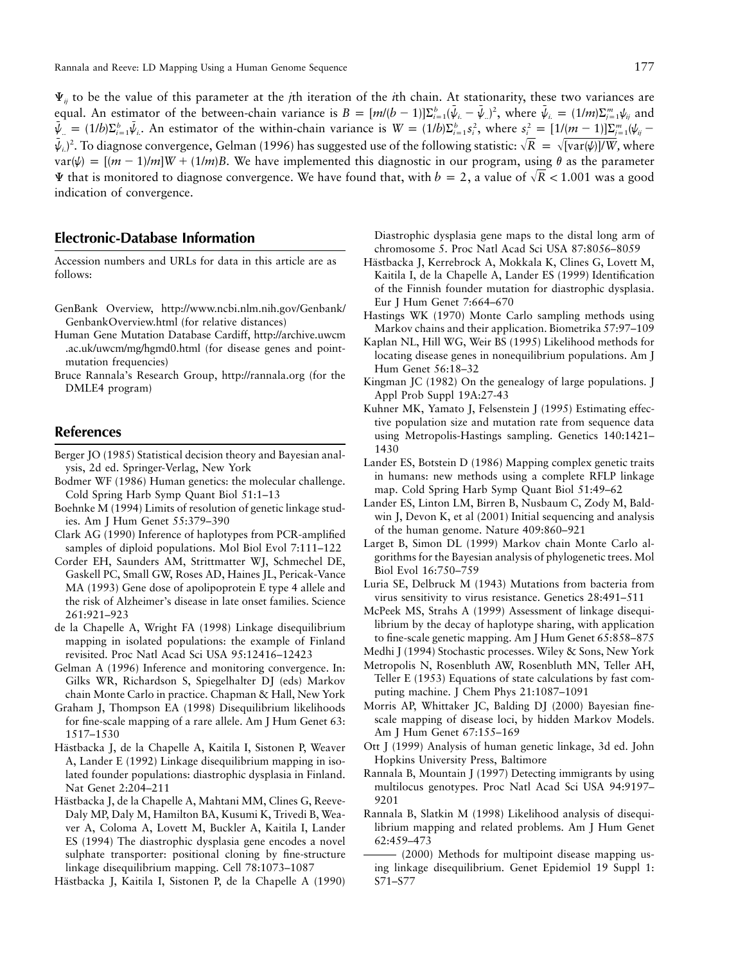W*ij* to be the value of this parameter at the *j*th iteration of the *i*th chain. At stationarity, these two variances are equal. An estimator of the between-chain variance is  $B = [m/(b-1)]\sum_{i=1}^{b}(\bar{\psi}_i - \bar{\psi}_i)^2$ , where  $\bar{\psi}_i = (1/m)\sum_{j=1}^{m} \psi_{ij}$  and  $\bar{\psi}_{n} = (1/b)\Sigma_{i=1}^{b}\bar{\psi}_{i}$ . An estimator of the within-chain variance is  $W = (1/b)\Sigma_{i=1}^{b}s_{i}^{2}$ , where  $s_{i}^{2} = [1/(m-1)]\Sigma_{i=1}^{m}(\psi_{ij} - \psi_{ij})$  $(\vec{\psi}_i)^2$ . To diagnose convergence, Gelman (1996) has suggested use of the following statistic:  $\sqrt{R} = \sqrt{[var(\psi)]/W}$ , where  $var(\psi) = [(m-1)/m]W + (1/m)B$ . We have implemented this diagnostic in our program, using  $\theta$  as the parameter  $\Psi$  that is monitored to diagnose convergence. We have found that, with  $b = 2$ , a value of  $\sqrt{R} < 1.001$  was a good indication of convergence.

## **Electronic-Database Information**

Accession numbers and URLs for data in this article are as follows:

- GenBank Overview, http://www.ncbi.nlm.nih.gov/Genbank/ GenbankOverview.html (for relative distances)
- Human Gene Mutation Database Cardiff, http://archive.uwcm .ac.uk/uwcm/mg/hgmd0.html (for disease genes and pointmutation frequencies)
- Bruce Rannala's Research Group, http://rannala.org (for the DMLE4 program)

## **References**

- Berger JO (1985) Statistical decision theory and Bayesian analysis, 2d ed. Springer-Verlag, New York
- Bodmer WF (1986) Human genetics: the molecular challenge. Cold Spring Harb Symp Quant Biol 51:1–13
- Boehnke M (1994) Limits of resolution of genetic linkage studies. Am J Hum Genet 55:379–390
- Clark AG (1990) Inference of haplotypes from PCR-amplified samples of diploid populations. Mol Biol Evol 7:111–122
- Corder EH, Saunders AM, Strittmatter WJ, Schmechel DE, Gaskell PC, Small GW, Roses AD, Haines JL, Pericak-Vance MA (1993) Gene dose of apolipoprotein E type 4 allele and the risk of Alzheimer's disease in late onset families. Science 261:921–923
- de la Chapelle A, Wright FA (1998) Linkage disequilibrium mapping in isolated populations: the example of Finland revisited. Proc Natl Acad Sci USA 95:12416–12423
- Gelman A (1996) Inference and monitoring convergence. In: Gilks WR, Richardson S, Spiegelhalter DJ (eds) Markov chain Monte Carlo in practice. Chapman & Hall, New York
- Graham J, Thompson EA (1998) Disequilibrium likelihoods for fine-scale mapping of a rare allele. Am J Hum Genet 63: 1517–1530
- Hästbacka J, de la Chapelle A, Kaitila I, Sistonen P, Weaver A, Lander E (1992) Linkage disequilibrium mapping in isolated founder populations: diastrophic dysplasia in Finland. Nat Genet 2:204–211
- Hästbacka J, de la Chapelle A, Mahtani MM, Clines G, Reeve-Daly MP, Daly M, Hamilton BA, Kusumi K, Trivedi B, Weaver A, Coloma A, Lovett M, Buckler A, Kaitila I, Lander ES (1994) The diastrophic dysplasia gene encodes a novel sulphate transporter: positional cloning by fine-structure linkage disequilibrium mapping. Cell 78:1073–1087
- Hästbacka J, Kaitila I, Sistonen P, de la Chapelle A (1990)

Diastrophic dysplasia gene maps to the distal long arm of chromosome 5. Proc Natl Acad Sci USA 87:8056–8059

- Hästbacka J, Kerrebrock A, Mokkala K, Clines G, Lovett M, Kaitila I, de la Chapelle A, Lander ES (1999) Identification of the Finnish founder mutation for diastrophic dysplasia. Eur J Hum Genet 7:664–670
- Hastings WK (1970) Monte Carlo sampling methods using Markov chains and their application. Biometrika 57:97–109
- Kaplan NL, Hill WG, Weir BS (1995) Likelihood methods for locating disease genes in nonequilibrium populations. Am J Hum Genet 56:18–32
- Kingman JC (1982) On the genealogy of large populations. J Appl Prob Suppl 19A:27-43
- Kuhner MK, Yamato J, Felsenstein J (1995) Estimating effective population size and mutation rate from sequence data using Metropolis-Hastings sampling. Genetics 140:1421– 1430
- Lander ES, Botstein D (1986) Mapping complex genetic traits in humans: new methods using a complete RFLP linkage map. Cold Spring Harb Symp Quant Biol 51:49–62
- Lander ES, Linton LM, Birren B, Nusbaum C, Zody M, Baldwin J, Devon K, et al (2001) Initial sequencing and analysis of the human genome. Nature 409:860–921
- Larget B, Simon DL (1999) Markov chain Monte Carlo algorithms for the Bayesian analysis of phylogenetic trees. Mol Biol Evol 16:750–759
- Luria SE, Delbruck M (1943) Mutations from bacteria from virus sensitivity to virus resistance. Genetics 28:491–511
- McPeek MS, Strahs A (1999) Assessment of linkage disequilibrium by the decay of haplotype sharing, with application to fine-scale genetic mapping. Am J Hum Genet 65:858–875
- Medhi J (1994) Stochastic processes. Wiley & Sons, New York
- Metropolis N, Rosenbluth AW, Rosenbluth MN, Teller AH, Teller E (1953) Equations of state calculations by fast computing machine. J Chem Phys 21:1087–1091
- Morris AP, Whittaker JC, Balding DJ (2000) Bayesian finescale mapping of disease loci, by hidden Markov Models. Am J Hum Genet 67:155–169
- Ott J (1999) Analysis of human genetic linkage, 3d ed. John Hopkins University Press, Baltimore
- Rannala B, Mountain J (1997) Detecting immigrants by using multilocus genotypes. Proc Natl Acad Sci USA 94:9197– 9201
- Rannala B, Slatkin M (1998) Likelihood analysis of disequilibrium mapping and related problems. Am J Hum Genet 62:459–473
- $(2000)$  Methods for multipoint disease mapping using linkage disequilibrium. Genet Epidemiol 19 Suppl 1: S71–S77